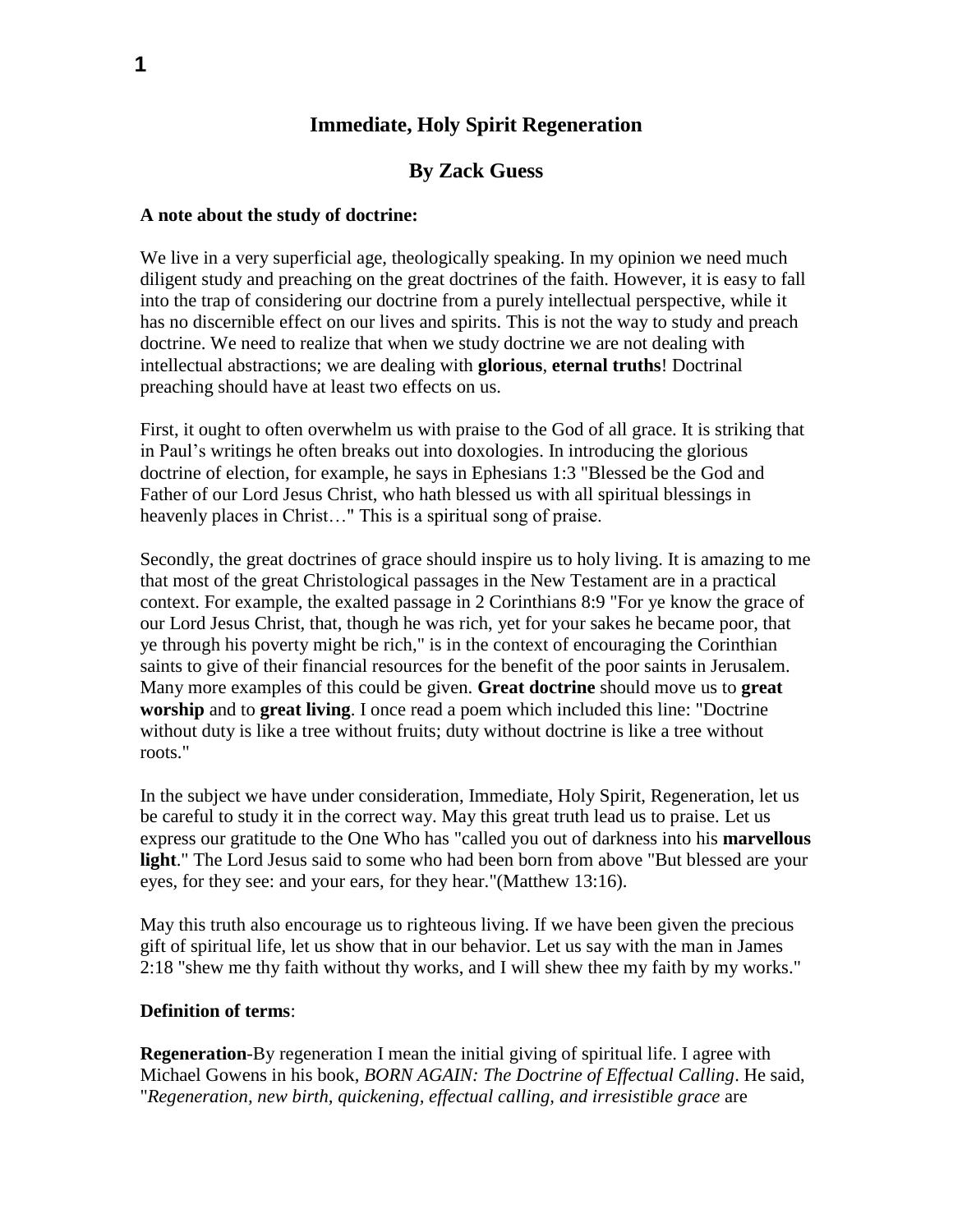# **Immediate, Holy Spirit Regeneration**

# **By Zack Guess**

### **A note about the study of doctrine:**

We live in a very superficial age, theologically speaking. In my opinion we need much diligent study and preaching on the great doctrines of the faith. However, it is easy to fall into the trap of considering our doctrine from a purely intellectual perspective, while it has no discernible effect on our lives and spirits. This is not the way to study and preach doctrine. We need to realize that when we study doctrine we are not dealing with intellectual abstractions; we are dealing with **glorious**, **eternal truths**! Doctrinal preaching should have at least two effects on us.

First, it ought to often overwhelm us with praise to the God of all grace. It is striking that in Paul's writings he often breaks out into doxologies. In introducing the glorious doctrine of election, for example, he says in Ephesians 1:3 "Blessed be the God and Father of our Lord Jesus Christ, who hath blessed us with all spiritual blessings in heavenly places in Christ..." This is a spiritual song of praise.

Secondly, the great doctrines of grace should inspire us to holy living. It is amazing to me that most of the great Christological passages in the New Testament are in a practical context. For example, the exalted passage in 2 Corinthians 8:9 "For ye know the grace of our Lord Jesus Christ, that, though he was rich, yet for your sakes he became poor, that ye through his poverty might be rich," is in the context of encouraging the Corinthian saints to give of their financial resources for the benefit of the poor saints in Jerusalem. Many more examples of this could be given. **Great doctrine** should move us to **great worship** and to **great living**. I once read a poem which included this line: "Doctrine without duty is like a tree without fruits; duty without doctrine is like a tree without roots."

In the subject we have under consideration, Immediate, Holy Spirit, Regeneration, let us be careful to study it in the correct way. May this great truth lead us to praise. Let us express our gratitude to the One Who has "called you out of darkness into his **marvellous light**." The Lord Jesus said to some who had been born from above "But blessed are your eyes, for they see: and your ears, for they hear."(Matthew 13:16).

May this truth also encourage us to righteous living. If we have been given the precious gift of spiritual life, let us show that in our behavior. Let us say with the man in James 2:18 "shew me thy faith without thy works, and I will shew thee my faith by my works."

### **Definition of terms**:

**Regeneration**-By regeneration I mean the initial giving of spiritual life. I agree with Michael Gowens in his book, *BORN AGAIN: The Doctrine of Effectual Calling*. He said, "*Regeneration, new birth, quickening, effectual calling, and irresistible grace* are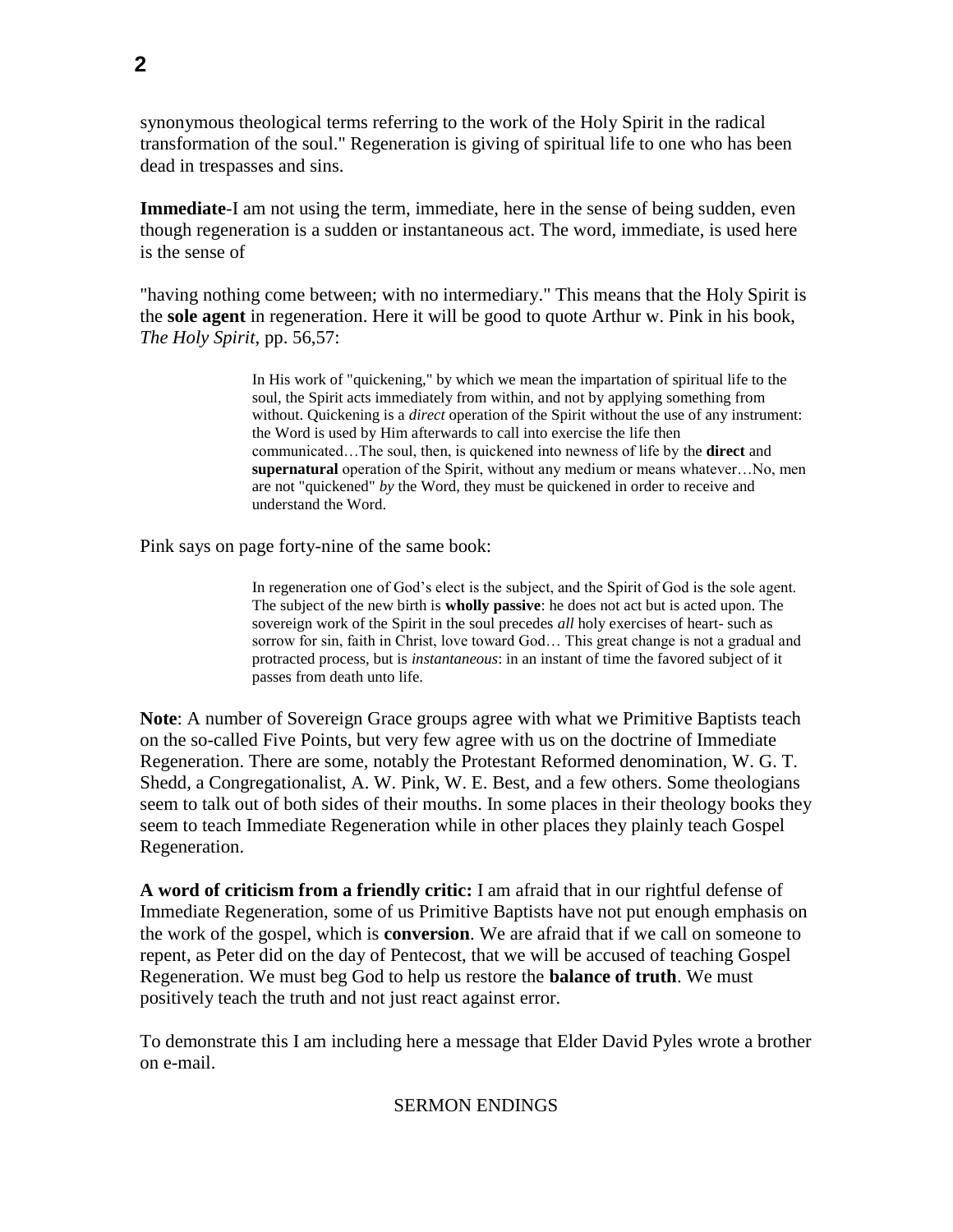synonymous theological terms referring to the work of the Holy Spirit in the radical transformation of the soul." Regeneration is giving of spiritual life to one who has been dead in trespasses and sins.

**Immediate**-I am not using the term, immediate, here in the sense of being sudden, even though regeneration is a sudden or instantaneous act. The word, immediate, is used here is the sense of

"having nothing come between; with no intermediary." This means that the Holy Spirit is the **sole agent** in regeneration. Here it will be good to quote Arthur w. Pink in his book, *The Holy Spirit*, pp. 56,57:

> In His work of "quickening," by which we mean the impartation of spiritual life to the soul, the Spirit acts immediately from within, and not by applying something from without. Quickening is a *direct* operation of the Spirit without the use of any instrument: the Word is used by Him afterwards to call into exercise the life then communicated…The soul, then, is quickened into newness of life by the **direct** and **supernatural** operation of the Spirit, without any medium or means whatever…No, men are not "quickened" *by* the Word, they must be quickened in order to receive and understand the Word.

Pink says on page forty-nine of the same book:

In regeneration one of God's elect is the subject, and the Spirit of God is the sole agent. The subject of the new birth is **wholly passive**: he does not act but is acted upon. The sovereign work of the Spirit in the soul precedes *all* holy exercises of heart- such as sorrow for sin, faith in Christ, love toward God… This great change is not a gradual and protracted process, but is *instantaneous*: in an instant of time the favored subject of it passes from death unto life.

**Note**: A number of Sovereign Grace groups agree with what we Primitive Baptists teach on the so-called Five Points, but very few agree with us on the doctrine of Immediate Regeneration. There are some, notably the Protestant Reformed denomination, W. G. T. Shedd, a Congregationalist, A. W. Pink, W. E. Best, and a few others. Some theologians seem to talk out of both sides of their mouths. In some places in their theology books they seem to teach Immediate Regeneration while in other places they plainly teach Gospel Regeneration.

**A word of criticism from a friendly critic:** I am afraid that in our rightful defense of Immediate Regeneration, some of us Primitive Baptists have not put enough emphasis on the work of the gospel, which is **conversion**. We are afraid that if we call on someone to repent, as Peter did on the day of Pentecost, that we will be accused of teaching Gospel Regeneration. We must beg God to help us restore the **balance of truth**. We must positively teach the truth and not just react against error.

To demonstrate this I am including here a message that Elder David Pyles wrote a brother on e-mail.

### SERMON ENDINGS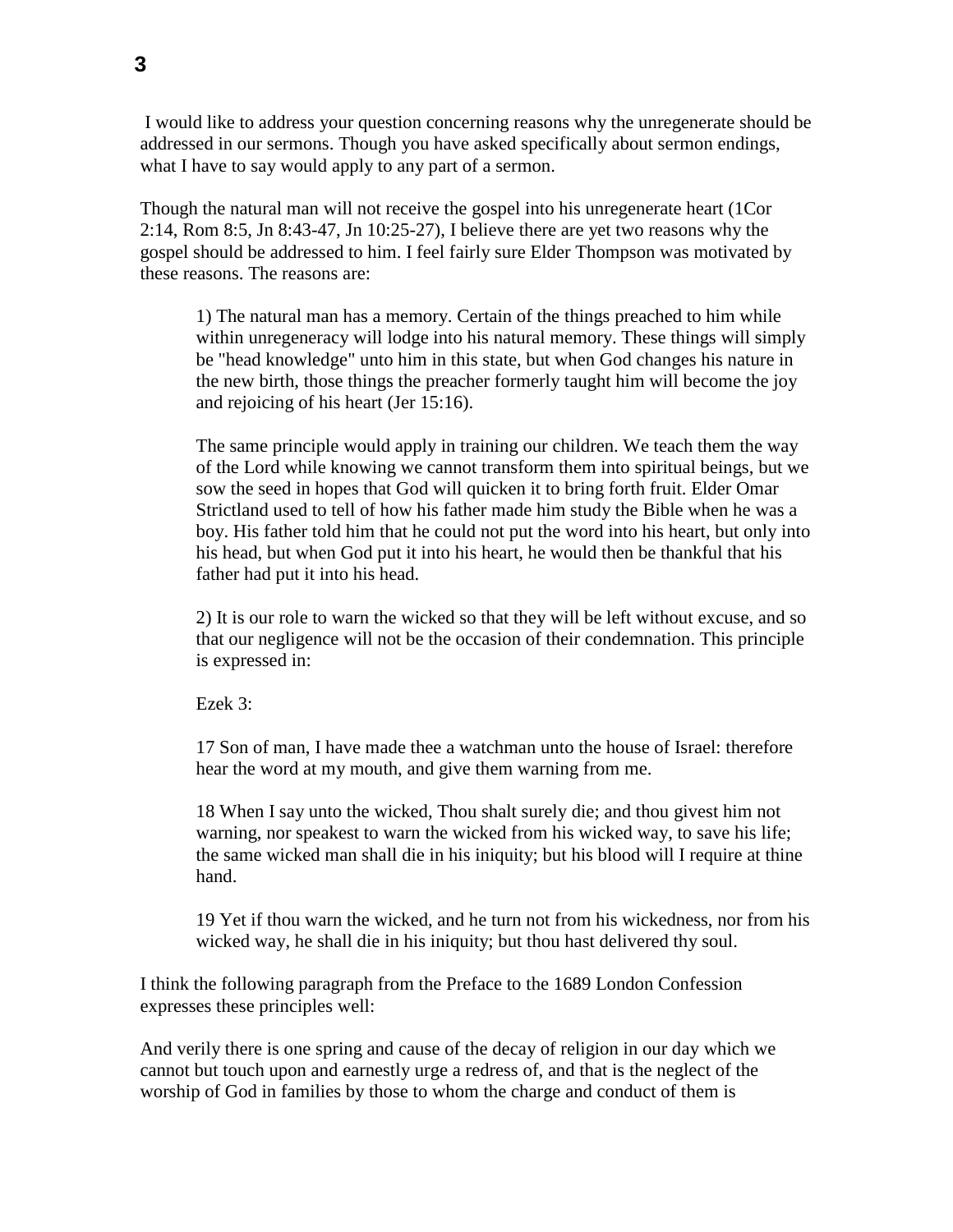I would like to address your question concerning reasons why the unregenerate should be addressed in our sermons. Though you have asked specifically about sermon endings, what I have to say would apply to any part of a sermon.

Though the natural man will not receive the gospel into his unregenerate heart (1Cor 2:14, Rom 8:5, Jn 8:43-47, Jn 10:25-27), I believe there are yet two reasons why the gospel should be addressed to him. I feel fairly sure Elder Thompson was motivated by these reasons. The reasons are:

1) The natural man has a memory. Certain of the things preached to him while within unregeneracy will lodge into his natural memory. These things will simply be "head knowledge" unto him in this state, but when God changes his nature in the new birth, those things the preacher formerly taught him will become the joy and rejoicing of his heart (Jer 15:16).

The same principle would apply in training our children. We teach them the way of the Lord while knowing we cannot transform them into spiritual beings, but we sow the seed in hopes that God will quicken it to bring forth fruit. Elder Omar Strictland used to tell of how his father made him study the Bible when he was a boy. His father told him that he could not put the word into his heart, but only into his head, but when God put it into his heart, he would then be thankful that his father had put it into his head.

2) It is our role to warn the wicked so that they will be left without excuse, and so that our negligence will not be the occasion of their condemnation. This principle is expressed in:

Ezek 3:

17 Son of man, I have made thee a watchman unto the house of Israel: therefore hear the word at my mouth, and give them warning from me.

18 When I say unto the wicked, Thou shalt surely die; and thou givest him not warning, nor speakest to warn the wicked from his wicked way, to save his life; the same wicked man shall die in his iniquity; but his blood will I require at thine hand.

19 Yet if thou warn the wicked, and he turn not from his wickedness, nor from his wicked way, he shall die in his iniquity; but thou hast delivered thy soul.

I think the following paragraph from the Preface to the 1689 London Confession expresses these principles well:

And verily there is one spring and cause of the decay of religion in our day which we cannot but touch upon and earnestly urge a redress of, and that is the neglect of the worship of God in families by those to whom the charge and conduct of them is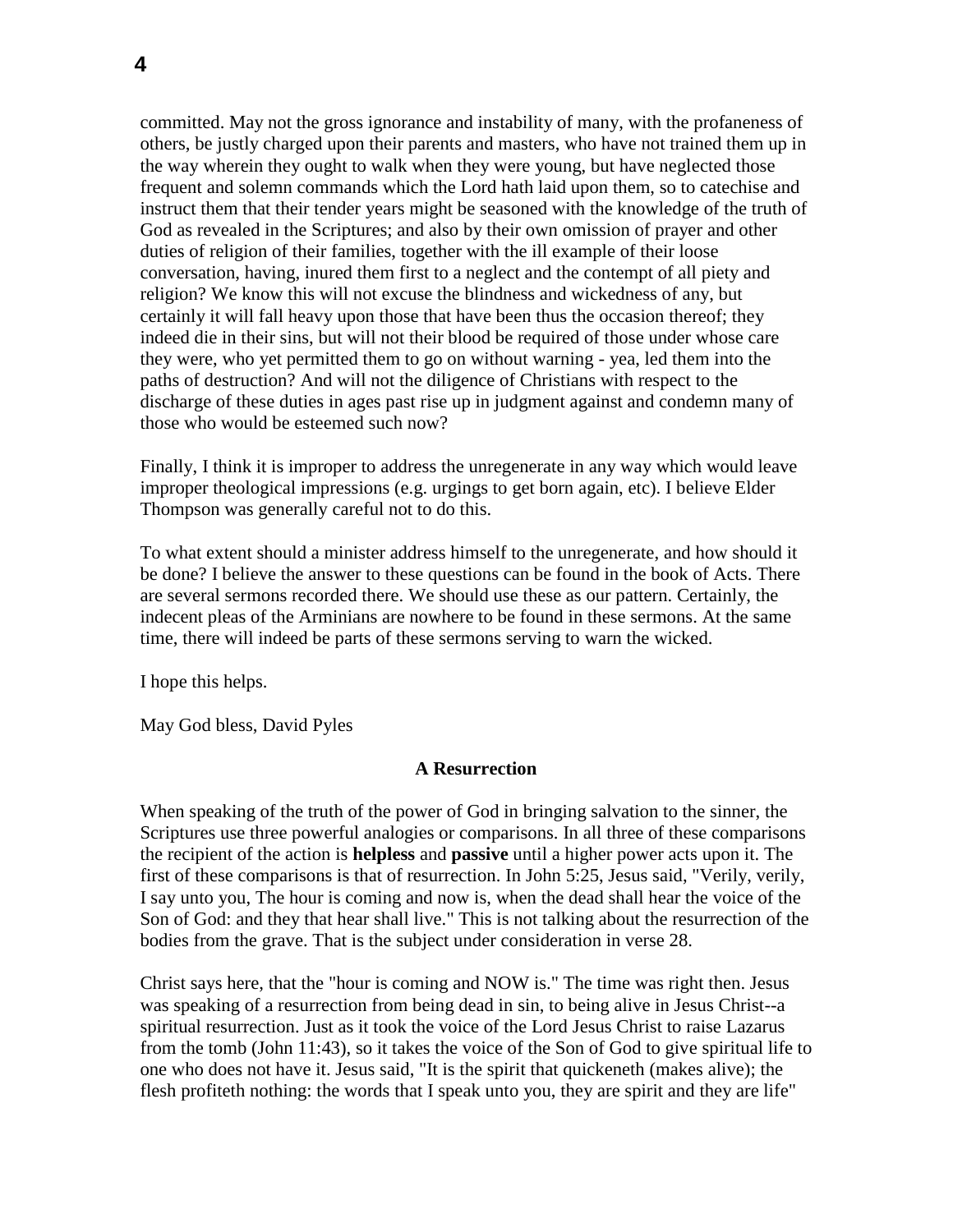committed. May not the gross ignorance and instability of many, with the profaneness of others, be justly charged upon their parents and masters, who have not trained them up in the way wherein they ought to walk when they were young, but have neglected those frequent and solemn commands which the Lord hath laid upon them, so to catechise and instruct them that their tender years might be seasoned with the knowledge of the truth of God as revealed in the Scriptures; and also by their own omission of prayer and other duties of religion of their families, together with the ill example of their loose conversation, having, inured them first to a neglect and the contempt of all piety and religion? We know this will not excuse the blindness and wickedness of any, but certainly it will fall heavy upon those that have been thus the occasion thereof; they indeed die in their sins, but will not their blood be required of those under whose care they were, who yet permitted them to go on without warning - yea, led them into the paths of destruction? And will not the diligence of Christians with respect to the discharge of these duties in ages past rise up in judgment against and condemn many of those who would be esteemed such now?

Finally, I think it is improper to address the unregenerate in any way which would leave improper theological impressions (e.g. urgings to get born again, etc). I believe Elder Thompson was generally careful not to do this.

To what extent should a minister address himself to the unregenerate, and how should it be done? I believe the answer to these questions can be found in the book of Acts. There are several sermons recorded there. We should use these as our pattern. Certainly, the indecent pleas of the Arminians are nowhere to be found in these sermons. At the same time, there will indeed be parts of these sermons serving to warn the wicked.

I hope this helps.

May God bless, David Pyles

### **A Resurrection**

When speaking of the truth of the power of God in bringing salvation to the sinner, the Scriptures use three powerful analogies or comparisons. In all three of these comparisons the recipient of the action is **helpless** and **passive** until a higher power acts upon it. The first of these comparisons is that of resurrection. In John 5:25, Jesus said, "Verily, verily, I say unto you, The hour is coming and now is, when the dead shall hear the voice of the Son of God: and they that hear shall live." This is not talking about the resurrection of the bodies from the grave. That is the subject under consideration in verse 28.

Christ says here, that the "hour is coming and NOW is." The time was right then. Jesus was speaking of a resurrection from being dead in sin, to being alive in Jesus Christ--a spiritual resurrection. Just as it took the voice of the Lord Jesus Christ to raise Lazarus from the tomb (John 11:43), so it takes the voice of the Son of God to give spiritual life to one who does not have it. Jesus said, "It is the spirit that quickeneth (makes alive); the flesh profiteth nothing: the words that I speak unto you, they are spirit and they are life"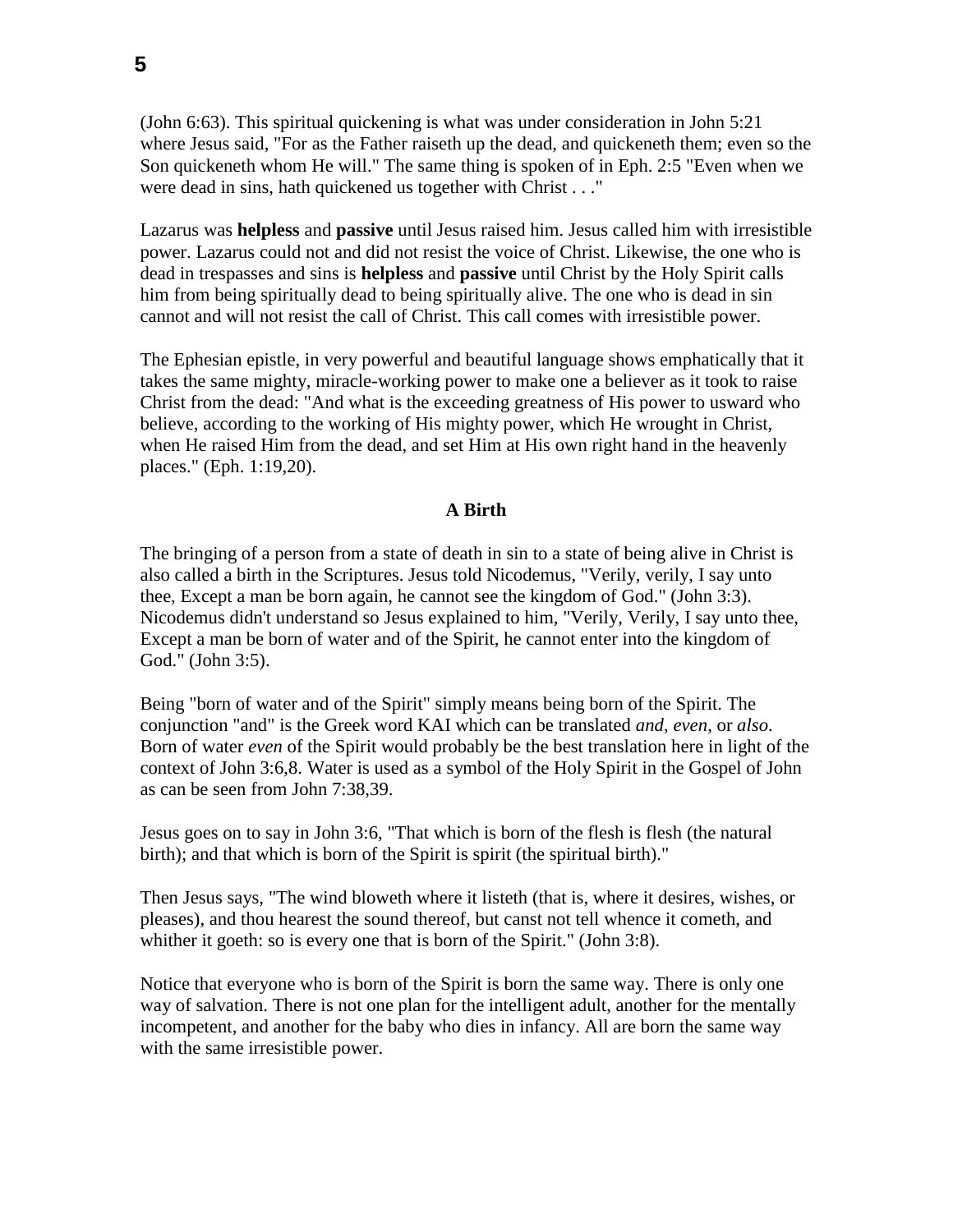(John 6:63). This spiritual quickening is what was under consideration in John 5:21 where Jesus said, "For as the Father raiseth up the dead, and quickeneth them; even so the Son quickeneth whom He will." The same thing is spoken of in Eph. 2:5 "Even when we were dead in sins, hath quickened us together with Christ . . ."

Lazarus was **helpless** and **passive** until Jesus raised him. Jesus called him with irresistible power. Lazarus could not and did not resist the voice of Christ. Likewise, the one who is dead in trespasses and sins is **helpless** and **passive** until Christ by the Holy Spirit calls him from being spiritually dead to being spiritually alive. The one who is dead in sin cannot and will not resist the call of Christ. This call comes with irresistible power.

The Ephesian epistle, in very powerful and beautiful language shows emphatically that it takes the same mighty, miracle-working power to make one a believer as it took to raise Christ from the dead: "And what is the exceeding greatness of His power to usward who believe, according to the working of His mighty power, which He wrought in Christ, when He raised Him from the dead, and set Him at His own right hand in the heavenly places." (Eph. 1:19,20).

### **A Birth**

The bringing of a person from a state of death in sin to a state of being alive in Christ is also called a birth in the Scriptures. Jesus told Nicodemus, "Verily, verily, I say unto thee, Except a man be born again, he cannot see the kingdom of God." (John 3:3). Nicodemus didn't understand so Jesus explained to him, "Verily, Verily, I say unto thee, Except a man be born of water and of the Spirit, he cannot enter into the kingdom of God." (John 3:5).

Being "born of water and of the Spirit" simply means being born of the Spirit. The conjunction "and" is the Greek word KAI which can be translated *and*, *even*, or *also*. Born of water *even* of the Spirit would probably be the best translation here in light of the context of John 3:6,8. Water is used as a symbol of the Holy Spirit in the Gospel of John as can be seen from John 7:38,39.

Jesus goes on to say in John 3:6, "That which is born of the flesh is flesh (the natural birth); and that which is born of the Spirit is spirit (the spiritual birth)."

Then Jesus says, "The wind bloweth where it listeth (that is, where it desires, wishes, or pleases), and thou hearest the sound thereof, but canst not tell whence it cometh, and whither it goeth: so is every one that is born of the Spirit." (John 3:8).

Notice that everyone who is born of the Spirit is born the same way. There is only one way of salvation. There is not one plan for the intelligent adult, another for the mentally incompetent, and another for the baby who dies in infancy. All are born the same way with the same irresistible power.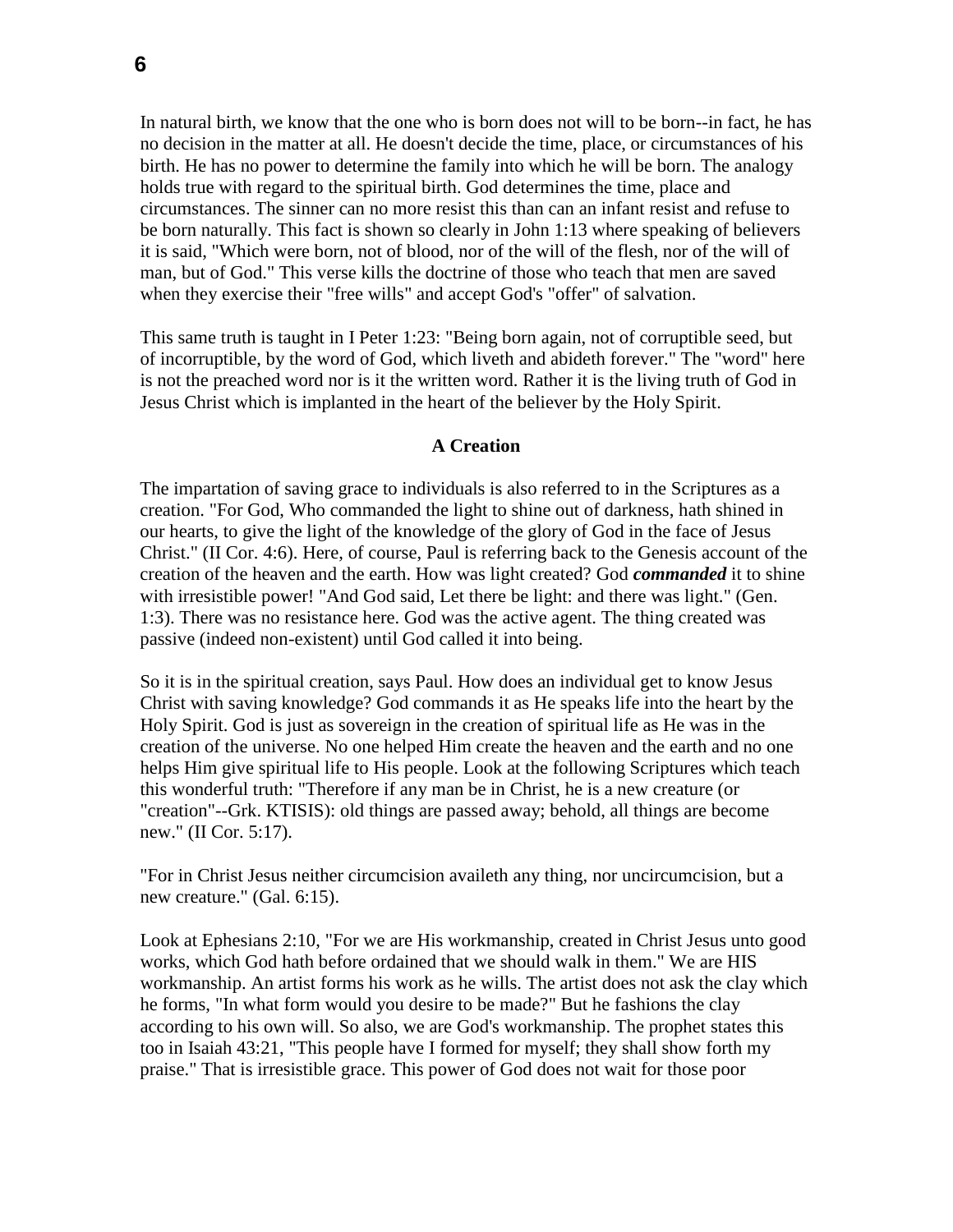In natural birth, we know that the one who is born does not will to be born--in fact, he has no decision in the matter at all. He doesn't decide the time, place, or circumstances of his birth. He has no power to determine the family into which he will be born. The analogy holds true with regard to the spiritual birth. God determines the time, place and circumstances. The sinner can no more resist this than can an infant resist and refuse to be born naturally. This fact is shown so clearly in John 1:13 where speaking of believers it is said, "Which were born, not of blood, nor of the will of the flesh, nor of the will of man, but of God." This verse kills the doctrine of those who teach that men are saved when they exercise their "free wills" and accept God's "offer" of salvation.

This same truth is taught in I Peter 1:23: "Being born again, not of corruptible seed, but of incorruptible, by the word of God, which liveth and abideth forever." The "word" here is not the preached word nor is it the written word. Rather it is the living truth of God in Jesus Christ which is implanted in the heart of the believer by the Holy Spirit.

#### **A Creation**

The impartation of saving grace to individuals is also referred to in the Scriptures as a creation. "For God, Who commanded the light to shine out of darkness, hath shined in our hearts, to give the light of the knowledge of the glory of God in the face of Jesus Christ." (II Cor. 4:6). Here, of course, Paul is referring back to the Genesis account of the creation of the heaven and the earth. How was light created? God *commanded* it to shine with irresistible power! "And God said, Let there be light: and there was light." (Gen. 1:3). There was no resistance here. God was the active agent. The thing created was passive (indeed non-existent) until God called it into being.

So it is in the spiritual creation, says Paul. How does an individual get to know Jesus Christ with saving knowledge? God commands it as He speaks life into the heart by the Holy Spirit. God is just as sovereign in the creation of spiritual life as He was in the creation of the universe. No one helped Him create the heaven and the earth and no one helps Him give spiritual life to His people. Look at the following Scriptures which teach this wonderful truth: "Therefore if any man be in Christ, he is a new creature (or "creation"--Grk. KTISIS): old things are passed away; behold, all things are become new." (II Cor. 5:17).

"For in Christ Jesus neither circumcision availeth any thing, nor uncircumcision, but a new creature." (Gal. 6:15).

Look at Ephesians 2:10, "For we are His workmanship, created in Christ Jesus unto good works, which God hath before ordained that we should walk in them." We are HIS workmanship. An artist forms his work as he wills. The artist does not ask the clay which he forms, "In what form would you desire to be made?" But he fashions the clay according to his own will. So also, we are God's workmanship. The prophet states this too in Isaiah 43:21, "This people have I formed for myself; they shall show forth my praise." That is irresistible grace. This power of God does not wait for those poor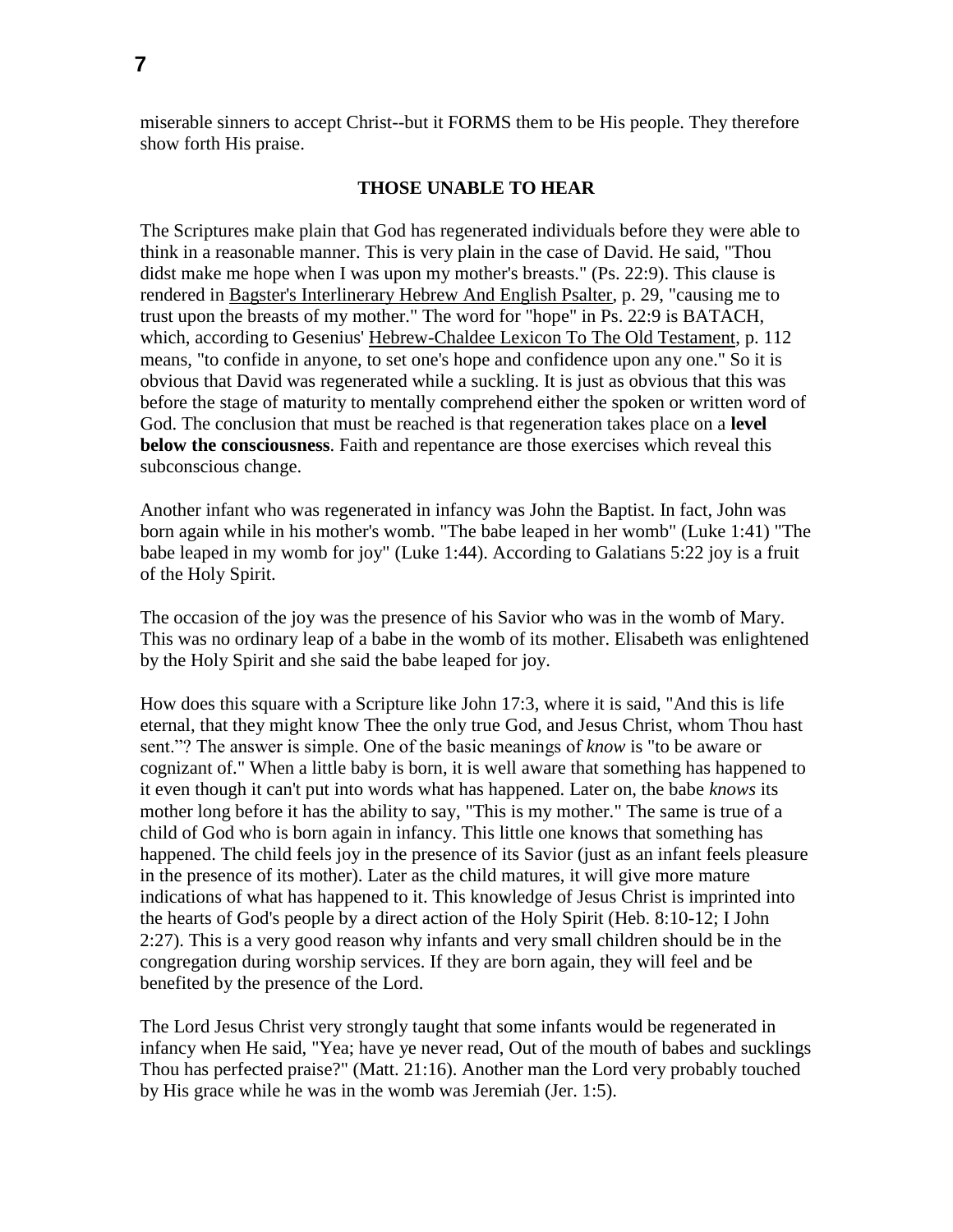miserable sinners to accept Christ--but it FORMS them to be His people. They therefore show forth His praise.

### **THOSE UNABLE TO HEAR**

The Scriptures make plain that God has regenerated individuals before they were able to think in a reasonable manner. This is very plain in the case of David. He said, "Thou didst make me hope when I was upon my mother's breasts." (Ps. 22:9). This clause is rendered in Bagster's Interlinerary Hebrew And English Psalter, p. 29, "causing me to trust upon the breasts of my mother." The word for "hope" in Ps. 22:9 is BATACH, which, according to Gesenius' Hebrew-Chaldee Lexicon To The Old Testament, p. 112 means, "to confide in anyone, to set one's hope and confidence upon any one." So it is obvious that David was regenerated while a suckling. It is just as obvious that this was before the stage of maturity to mentally comprehend either the spoken or written word of God. The conclusion that must be reached is that regeneration takes place on a **level below the consciousness**. Faith and repentance are those exercises which reveal this subconscious change.

Another infant who was regenerated in infancy was John the Baptist. In fact, John was born again while in his mother's womb. "The babe leaped in her womb" (Luke 1:41) "The babe leaped in my womb for joy" (Luke 1:44). According to Galatians 5:22 joy is a fruit of the Holy Spirit.

The occasion of the joy was the presence of his Savior who was in the womb of Mary. This was no ordinary leap of a babe in the womb of its mother. Elisabeth was enlightened by the Holy Spirit and she said the babe leaped for joy.

How does this square with a Scripture like John 17:3, where it is said, "And this is life eternal, that they might know Thee the only true God, and Jesus Christ, whom Thou hast sent."? The answer is simple. One of the basic meanings of *know* is "to be aware or cognizant of." When a little baby is born, it is well aware that something has happened to it even though it can't put into words what has happened. Later on, the babe *knows* its mother long before it has the ability to say, "This is my mother." The same is true of a child of God who is born again in infancy. This little one knows that something has happened. The child feels joy in the presence of its Savior (just as an infant feels pleasure in the presence of its mother). Later as the child matures, it will give more mature indications of what has happened to it. This knowledge of Jesus Christ is imprinted into the hearts of God's people by a direct action of the Holy Spirit (Heb. 8:10-12; I John 2:27). This is a very good reason why infants and very small children should be in the congregation during worship services. If they are born again, they will feel and be benefited by the presence of the Lord.

The Lord Jesus Christ very strongly taught that some infants would be regenerated in infancy when He said, "Yea; have ye never read, Out of the mouth of babes and sucklings Thou has perfected praise?" (Matt. 21:16). Another man the Lord very probably touched by His grace while he was in the womb was Jeremiah (Jer. 1:5).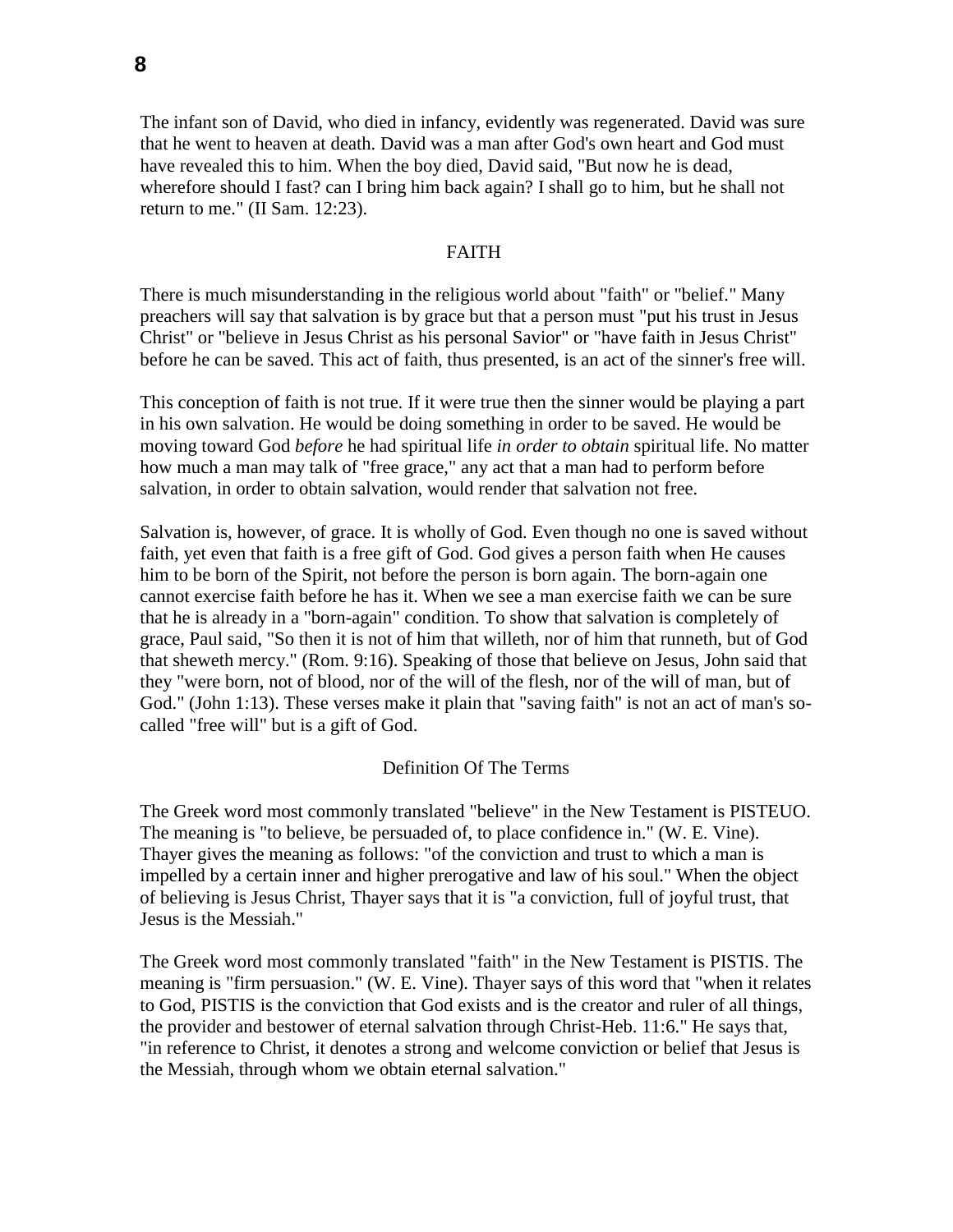The infant son of David, who died in infancy, evidently was regenerated. David was sure that he went to heaven at death. David was a man after God's own heart and God must have revealed this to him. When the boy died, David said, "But now he is dead, wherefore should I fast? can I bring him back again? I shall go to him, but he shall not return to me." (II Sam. 12:23).

### FAITH

There is much misunderstanding in the religious world about "faith" or "belief." Many preachers will say that salvation is by grace but that a person must "put his trust in Jesus Christ" or "believe in Jesus Christ as his personal Savior" or "have faith in Jesus Christ" before he can be saved. This act of faith, thus presented, is an act of the sinner's free will.

This conception of faith is not true. If it were true then the sinner would be playing a part in his own salvation. He would be doing something in order to be saved. He would be moving toward God *before* he had spiritual life *in order to obtain* spiritual life. No matter how much a man may talk of "free grace," any act that a man had to perform before salvation, in order to obtain salvation, would render that salvation not free.

Salvation is, however, of grace. It is wholly of God. Even though no one is saved without faith, yet even that faith is a free gift of God. God gives a person faith when He causes him to be born of the Spirit, not before the person is born again. The born-again one cannot exercise faith before he has it. When we see a man exercise faith we can be sure that he is already in a "born-again" condition. To show that salvation is completely of grace, Paul said, "So then it is not of him that willeth, nor of him that runneth, but of God that sheweth mercy." (Rom. 9:16). Speaking of those that believe on Jesus, John said that they "were born, not of blood, nor of the will of the flesh, nor of the will of man, but of God." (John 1:13). These verses make it plain that "saving faith" is not an act of man's socalled "free will" but is a gift of God.

#### Definition Of The Terms

The Greek word most commonly translated "believe" in the New Testament is PISTEUO. The meaning is "to believe, be persuaded of, to place confidence in." (W. E. Vine). Thayer gives the meaning as follows: "of the conviction and trust to which a man is impelled by a certain inner and higher prerogative and law of his soul." When the object of believing is Jesus Christ, Thayer says that it is "a conviction, full of joyful trust, that Jesus is the Messiah."

The Greek word most commonly translated "faith" in the New Testament is PISTIS. The meaning is "firm persuasion." (W. E. Vine). Thayer says of this word that "when it relates to God, PISTIS is the conviction that God exists and is the creator and ruler of all things, the provider and bestower of eternal salvation through Christ-Heb. 11:6." He says that, "in reference to Christ, it denotes a strong and welcome conviction or belief that Jesus is the Messiah, through whom we obtain eternal salvation."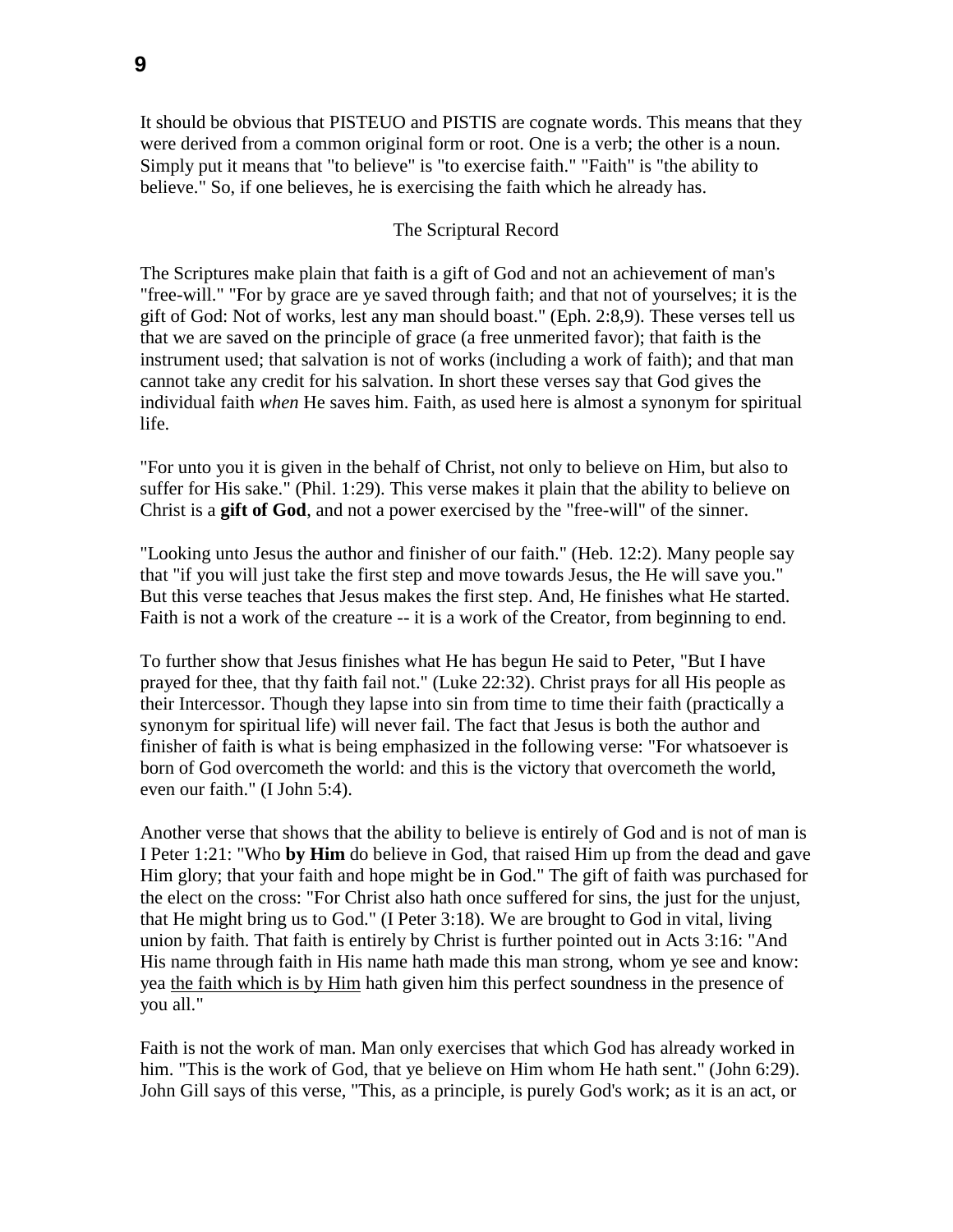It should be obvious that PISTEUO and PISTIS are cognate words. This means that they were derived from a common original form or root. One is a verb; the other is a noun. Simply put it means that "to believe" is "to exercise faith." "Faith" is "the ability to believe." So, if one believes, he is exercising the faith which he already has.

## The Scriptural Record

The Scriptures make plain that faith is a gift of God and not an achievement of man's "free-will." "For by grace are ye saved through faith; and that not of yourselves; it is the gift of God: Not of works, lest any man should boast." (Eph. 2:8,9). These verses tell us that we are saved on the principle of grace (a free unmerited favor); that faith is the instrument used; that salvation is not of works (including a work of faith); and that man cannot take any credit for his salvation. In short these verses say that God gives the individual faith *when* He saves him. Faith, as used here is almost a synonym for spiritual life.

"For unto you it is given in the behalf of Christ, not only to believe on Him, but also to suffer for His sake." (Phil. 1:29). This verse makes it plain that the ability to believe on Christ is a **gift of God**, and not a power exercised by the "free-will" of the sinner.

"Looking unto Jesus the author and finisher of our faith." (Heb. 12:2). Many people say that "if you will just take the first step and move towards Jesus, the He will save you." But this verse teaches that Jesus makes the first step. And, He finishes what He started. Faith is not a work of the creature -- it is a work of the Creator, from beginning to end.

To further show that Jesus finishes what He has begun He said to Peter, "But I have prayed for thee, that thy faith fail not." (Luke 22:32). Christ prays for all His people as their Intercessor. Though they lapse into sin from time to time their faith (practically a synonym for spiritual life) will never fail. The fact that Jesus is both the author and finisher of faith is what is being emphasized in the following verse: "For whatsoever is born of God overcometh the world: and this is the victory that overcometh the world, even our faith." (I John 5:4).

Another verse that shows that the ability to believe is entirely of God and is not of man is I Peter 1:21: "Who **by Him** do believe in God, that raised Him up from the dead and gave Him glory; that your faith and hope might be in God." The gift of faith was purchased for the elect on the cross: "For Christ also hath once suffered for sins, the just for the unjust, that He might bring us to God." (I Peter 3:18). We are brought to God in vital, living union by faith. That faith is entirely by Christ is further pointed out in Acts 3:16: "And His name through faith in His name hath made this man strong, whom ye see and know: yea the faith which is by Him hath given him this perfect soundness in the presence of you all."

Faith is not the work of man. Man only exercises that which God has already worked in him. "This is the work of God, that ye believe on Him whom He hath sent." (John 6:29). John Gill says of this verse, "This, as a principle, is purely God's work; as it is an act, or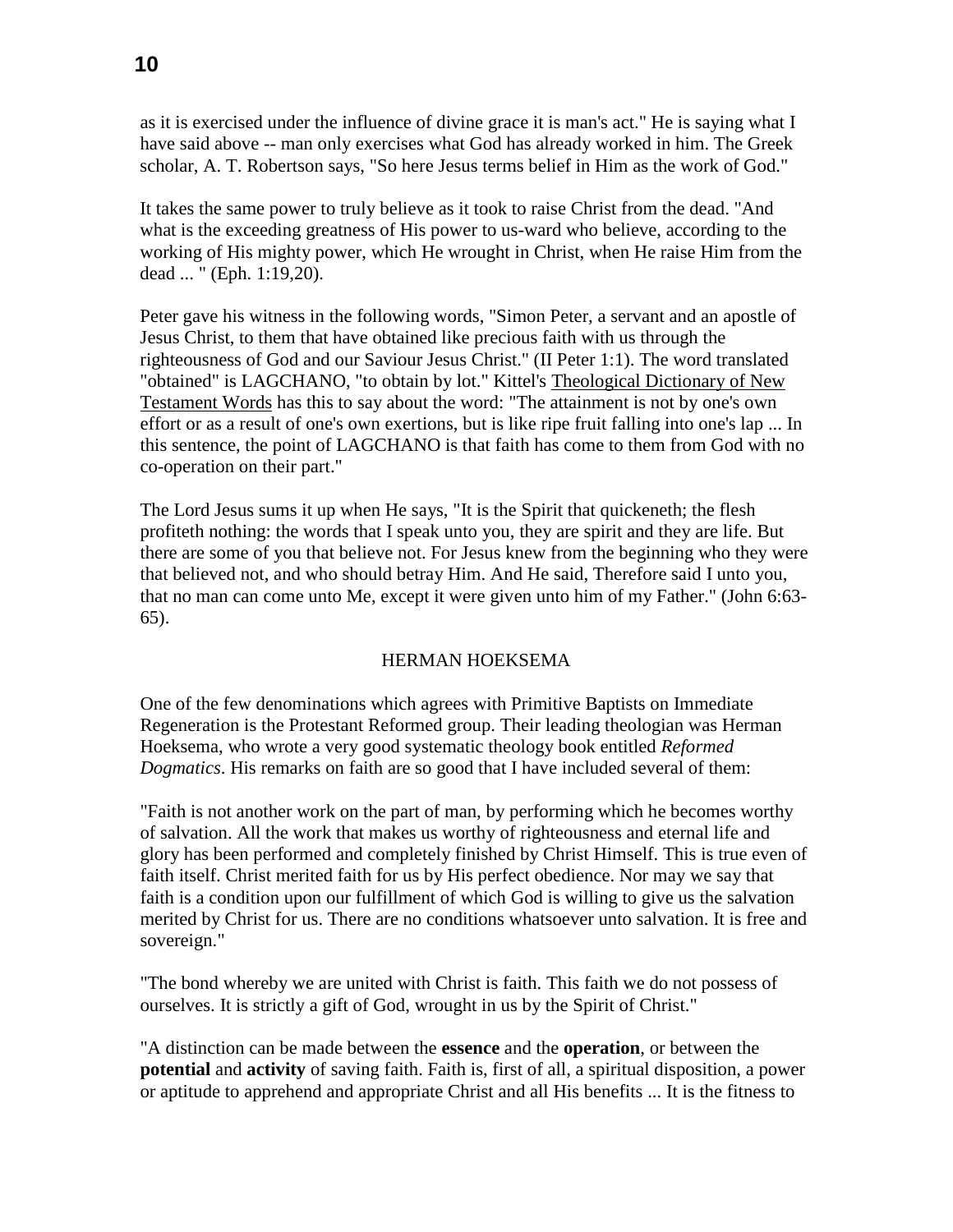as it is exercised under the influence of divine grace it is man's act." He is saying what I

have said above -- man only exercises what God has already worked in him. The Greek scholar, A. T. Robertson says, "So here Jesus terms belief in Him as the work of God."

It takes the same power to truly believe as it took to raise Christ from the dead. "And what is the exceeding greatness of His power to us-ward who believe, according to the working of His mighty power, which He wrought in Christ, when He raise Him from the dead ... " (Eph. 1:19,20).

Peter gave his witness in the following words, "Simon Peter, a servant and an apostle of Jesus Christ, to them that have obtained like precious faith with us through the righteousness of God and our Saviour Jesus Christ." (II Peter 1:1). The word translated "obtained" is LAGCHANO, "to obtain by lot." Kittel's Theological Dictionary of New Testament Words has this to say about the word: "The attainment is not by one's own effort or as a result of one's own exertions, but is like ripe fruit falling into one's lap ... In this sentence, the point of LAGCHANO is that faith has come to them from God with no co-operation on their part."

The Lord Jesus sums it up when He says, "It is the Spirit that quickeneth; the flesh profiteth nothing: the words that I speak unto you, they are spirit and they are life. But there are some of you that believe not. For Jesus knew from the beginning who they were that believed not, and who should betray Him. And He said, Therefore said I unto you, that no man can come unto Me, except it were given unto him of my Father." (John 6:63- 65).

# HERMAN HOEKSEMA

One of the few denominations which agrees with Primitive Baptists on Immediate Regeneration is the Protestant Reformed group. Their leading theologian was Herman Hoeksema, who wrote a very good systematic theology book entitled *Reformed Dogmatics*. His remarks on faith are so good that I have included several of them:

"Faith is not another work on the part of man, by performing which he becomes worthy of salvation. All the work that makes us worthy of righteousness and eternal life and glory has been performed and completely finished by Christ Himself. This is true even of faith itself. Christ merited faith for us by His perfect obedience. Nor may we say that faith is a condition upon our fulfillment of which God is willing to give us the salvation merited by Christ for us. There are no conditions whatsoever unto salvation. It is free and sovereign."

"The bond whereby we are united with Christ is faith. This faith we do not possess of ourselves. It is strictly a gift of God, wrought in us by the Spirit of Christ."

"A distinction can be made between the **essence** and the **operation**, or between the **potential** and **activity** of saving faith. Faith is, first of all, a spiritual disposition, a power or aptitude to apprehend and appropriate Christ and all His benefits ... It is the fitness to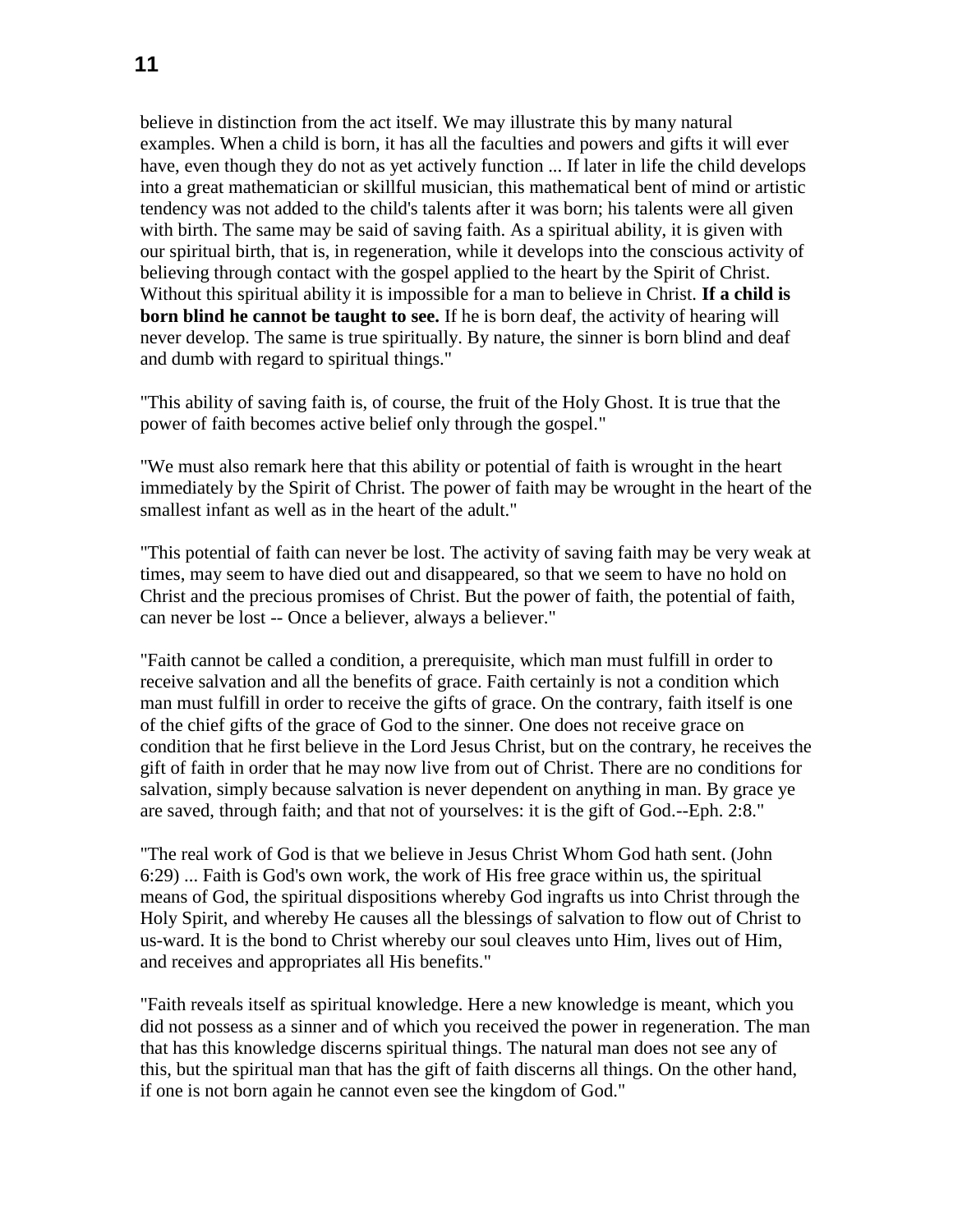believe in distinction from the act itself. We may illustrate this by many natural examples. When a child is born, it has all the faculties and powers and gifts it will ever have, even though they do not as yet actively function ... If later in life the child develops into a great mathematician or skillful musician, this mathematical bent of mind or artistic tendency was not added to the child's talents after it was born; his talents were all given with birth. The same may be said of saving faith. As a spiritual ability, it is given with our spiritual birth, that is, in regeneration, while it develops into the conscious activity of believing through contact with the gospel applied to the heart by the Spirit of Christ. Without this spiritual ability it is impossible for a man to believe in Christ. **If a child is born blind he cannot be taught to see.** If he is born deaf, the activity of hearing will never develop. The same is true spiritually. By nature, the sinner is born blind and deaf and dumb with regard to spiritual things."

"This ability of saving faith is, of course, the fruit of the Holy Ghost. It is true that the power of faith becomes active belief only through the gospel."

"We must also remark here that this ability or potential of faith is wrought in the heart immediately by the Spirit of Christ. The power of faith may be wrought in the heart of the smallest infant as well as in the heart of the adult."

"This potential of faith can never be lost. The activity of saving faith may be very weak at times, may seem to have died out and disappeared, so that we seem to have no hold on Christ and the precious promises of Christ. But the power of faith, the potential of faith, can never be lost -- Once a believer, always a believer."

"Faith cannot be called a condition, a prerequisite, which man must fulfill in order to receive salvation and all the benefits of grace. Faith certainly is not a condition which man must fulfill in order to receive the gifts of grace. On the contrary, faith itself is one of the chief gifts of the grace of God to the sinner. One does not receive grace on condition that he first believe in the Lord Jesus Christ, but on the contrary, he receives the gift of faith in order that he may now live from out of Christ. There are no conditions for salvation, simply because salvation is never dependent on anything in man. By grace ye are saved, through faith; and that not of yourselves: it is the gift of God.--Eph. 2:8."

"The real work of God is that we believe in Jesus Christ Whom God hath sent. (John 6:29) ... Faith is God's own work, the work of His free grace within us, the spiritual means of God, the spiritual dispositions whereby God ingrafts us into Christ through the Holy Spirit, and whereby He causes all the blessings of salvation to flow out of Christ to us-ward. It is the bond to Christ whereby our soul cleaves unto Him, lives out of Him, and receives and appropriates all His benefits."

"Faith reveals itself as spiritual knowledge. Here a new knowledge is meant, which you did not possess as a sinner and of which you received the power in regeneration. The man that has this knowledge discerns spiritual things. The natural man does not see any of this, but the spiritual man that has the gift of faith discerns all things. On the other hand, if one is not born again he cannot even see the kingdom of God."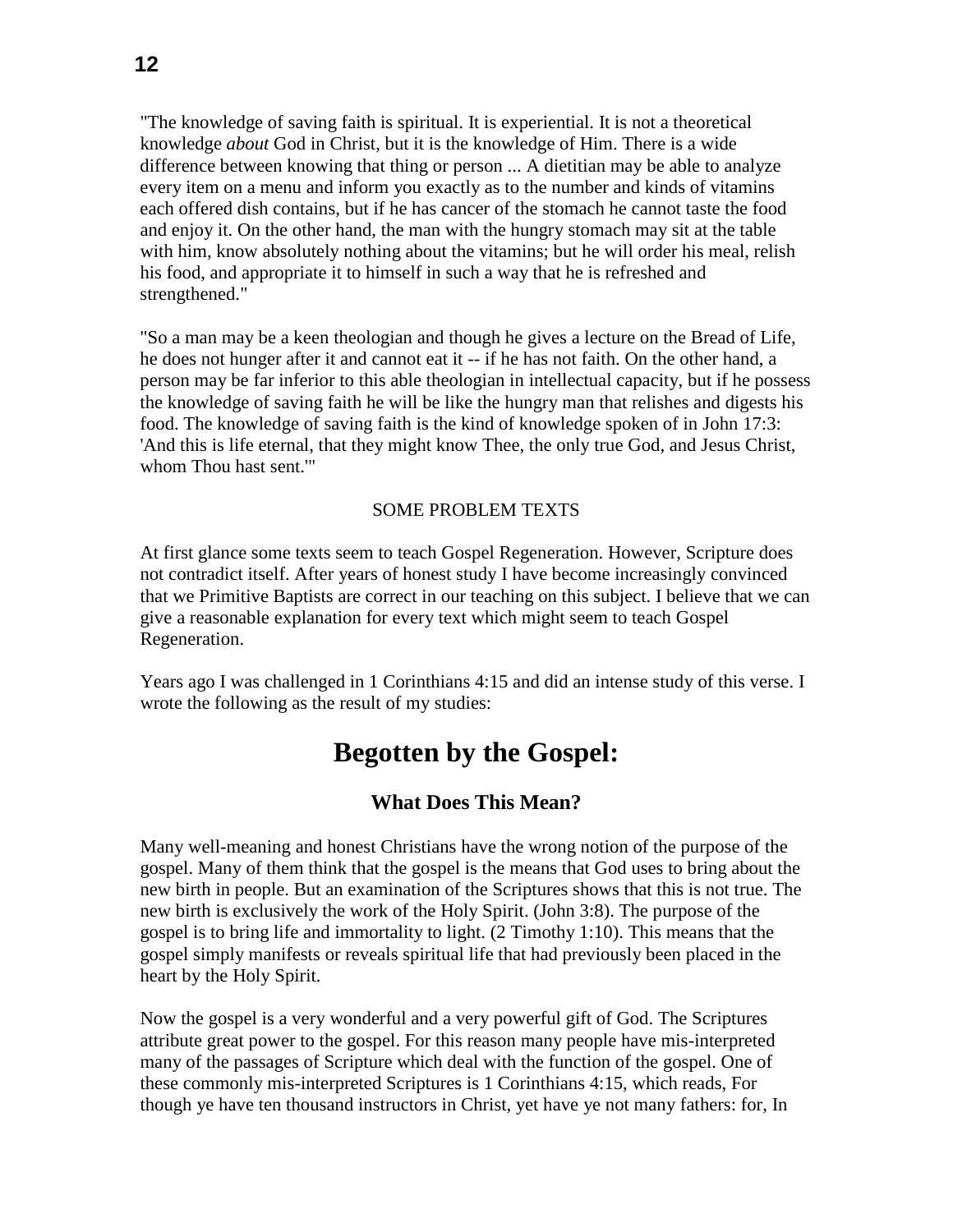"The knowledge of saving faith is spiritual. It is experiential. It is not a theoretical knowledge *about* God in Christ, but it is the knowledge of Him. There is a wide difference between knowing that thing or person ... A dietitian may be able to analyze every item on a menu and inform you exactly as to the number and kinds of vitamins each offered dish contains, but if he has cancer of the stomach he cannot taste the food and enjoy it. On the other hand, the man with the hungry stomach may sit at the table with him, know absolutely nothing about the vitamins; but he will order his meal, relish his food, and appropriate it to himself in such a way that he is refreshed and strengthened."

"So a man may be a keen theologian and though he gives a lecture on the Bread of Life, he does not hunger after it and cannot eat it -- if he has not faith. On the other hand, a person may be far inferior to this able theologian in intellectual capacity, but if he possess the knowledge of saving faith he will be like the hungry man that relishes and digests his food. The knowledge of saving faith is the kind of knowledge spoken of in John 17:3: 'And this is life eternal, that they might know Thee, the only true God, and Jesus Christ, whom Thou hast sent.'"

# SOME PROBLEM TEXTS

At first glance some texts seem to teach Gospel Regeneration. However, Scripture does not contradict itself. After years of honest study I have become increasingly convinced that we Primitive Baptists are correct in our teaching on this subject. I believe that we can give a reasonable explanation for every text which might seem to teach Gospel Regeneration.

Years ago I was challenged in 1 Corinthians 4:15 and did an intense study of this verse. I wrote the following as the result of my studies:

# **Begotten by the Gospel:**

# **What Does This Mean?**

Many well-meaning and honest Christians have the wrong notion of the purpose of the gospel. Many of them think that the gospel is the means that God uses to bring about the new birth in people. But an examination of the Scriptures shows that this is not true. The new birth is exclusively the work of the Holy Spirit. (John 3:8). The purpose of the gospel is to bring life and immortality to light. (2 Timothy 1:10). This means that the gospel simply manifests or reveals spiritual life that had previously been placed in the heart by the Holy Spirit.

Now the gospel is a very wonderful and a very powerful gift of God. The Scriptures attribute great power to the gospel. For this reason many people have mis-interpreted many of the passages of Scripture which deal with the function of the gospel. One of these commonly mis-interpreted Scriptures is 1 Corinthians 4:15, which reads, For though ye have ten thousand instructors in Christ, yet have ye not many fathers: for, In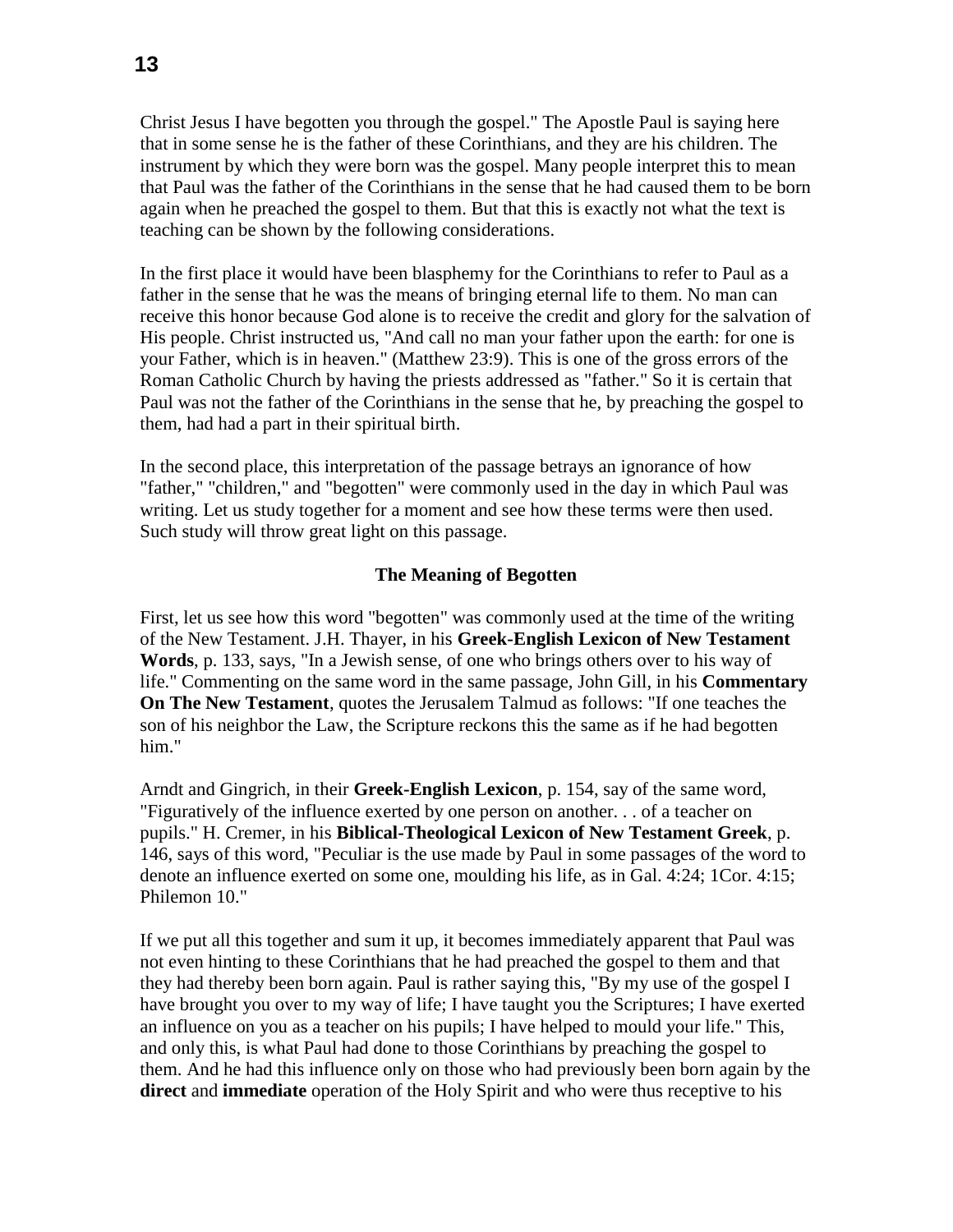Christ Jesus I have begotten you through the gospel." The Apostle Paul is saying here that in some sense he is the father of these Corinthians, and they are his children. The instrument by which they were born was the gospel. Many people interpret this to mean that Paul was the father of the Corinthians in the sense that he had caused them to be born again when he preached the gospel to them. But that this is exactly not what the text is teaching can be shown by the following considerations.

In the first place it would have been blasphemy for the Corinthians to refer to Paul as a father in the sense that he was the means of bringing eternal life to them. No man can receive this honor because God alone is to receive the credit and glory for the salvation of His people. Christ instructed us, "And call no man your father upon the earth: for one is your Father, which is in heaven." (Matthew 23:9). This is one of the gross errors of the Roman Catholic Church by having the priests addressed as "father." So it is certain that Paul was not the father of the Corinthians in the sense that he, by preaching the gospel to them, had had a part in their spiritual birth.

In the second place, this interpretation of the passage betrays an ignorance of how "father," "children," and "begotten" were commonly used in the day in which Paul was writing. Let us study together for a moment and see how these terms were then used. Such study will throw great light on this passage.

### **The Meaning of Begotten**

First, let us see how this word "begotten" was commonly used at the time of the writing of the New Testament. J.H. Thayer, in his **Greek-English Lexicon of New Testament Words**, p. 133, says, "In a Jewish sense, of one who brings others over to his way of life." Commenting on the same word in the same passage, John Gill, in his **Commentary On The New Testament**, quotes the Jerusalem Talmud as follows: "If one teaches the son of his neighbor the Law, the Scripture reckons this the same as if he had begotten him."

Arndt and Gingrich, in their **Greek-English Lexicon**, p. 154, say of the same word, "Figuratively of the influence exerted by one person on another. . . of a teacher on pupils." H. Cremer, in his **Biblical-Theological Lexicon of New Testament Greek**, p. 146, says of this word, "Peculiar is the use made by Paul in some passages of the word to denote an influence exerted on some one, moulding his life, as in Gal. 4:24; 1Cor. 4:15; Philemon 10."

If we put all this together and sum it up, it becomes immediately apparent that Paul was not even hinting to these Corinthians that he had preached the gospel to them and that they had thereby been born again. Paul is rather saying this, "By my use of the gospel I have brought you over to my way of life; I have taught you the Scriptures; I have exerted an influence on you as a teacher on his pupils; I have helped to mould your life." This, and only this, is what Paul had done to those Corinthians by preaching the gospel to them. And he had this influence only on those who had previously been born again by the **direct** and **immediate** operation of the Holy Spirit and who were thus receptive to his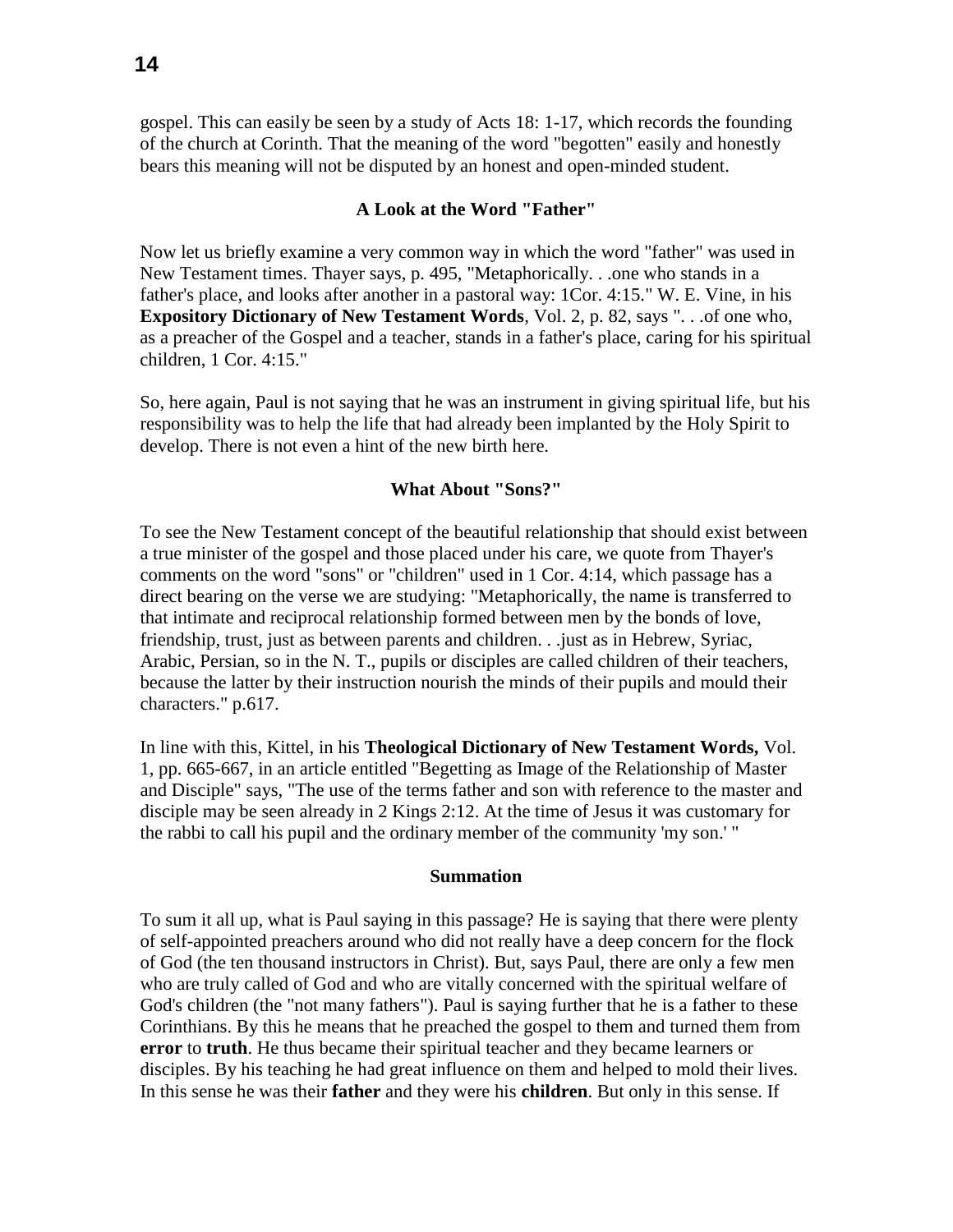gospel. This can easily be seen by a study of Acts 18: 1-17, which records the founding of the church at Corinth. That the meaning of the word "begotten" easily and honestly bears this meaning will not be disputed by an honest and open-minded student.

### **A Look at the Word "Father"**

Now let us briefly examine a very common way in which the word "father" was used in New Testament times. Thayer says, p. 495, "Metaphorically. . .one who stands in a father's place, and looks after another in a pastoral way: 1Cor. 4:15." W. E. Vine, in his **Expository Dictionary of New Testament Words**, Vol. 2, p. 82, says ". . .of one who, as a preacher of the Gospel and a teacher, stands in a father's place, caring for his spiritual children, 1 Cor. 4:15."

So, here again, Paul is not saying that he was an instrument in giving spiritual life, but his responsibility was to help the life that had already been implanted by the Holy Spirit to develop. There is not even a hint of the new birth here.

### **What About "Sons?"**

To see the New Testament concept of the beautiful relationship that should exist between a true minister of the gospel and those placed under his care, we quote from Thayer's comments on the word "sons" or "children" used in 1 Cor. 4:14, which passage has a direct bearing on the verse we are studying: "Metaphorically, the name is transferred to that intimate and reciprocal relationship formed between men by the bonds of love, friendship, trust, just as between parents and children. . .just as in Hebrew, Syriac, Arabic, Persian, so in the N. T., pupils or disciples are called children of their teachers, because the latter by their instruction nourish the minds of their pupils and mould their characters." p.617.

In line with this, Kittel, in his **Theological Dictionary of New Testament Words,** Vol. 1, pp. 665-667, in an article entitled "Begetting as Image of the Relationship of Master and Disciple" says, "The use of the terms father and son with reference to the master and disciple may be seen already in 2 Kings 2:12. At the time of Jesus it was customary for the rabbi to call his pupil and the ordinary member of the community 'my son.' "

#### **Summation**

To sum it all up, what is Paul saying in this passage? He is saying that there were plenty of self-appointed preachers around who did not really have a deep concern for the flock of God (the ten thousand instructors in Christ). But, says Paul, there are only a few men who are truly called of God and who are vitally concerned with the spiritual welfare of God's children (the "not many fathers"). Paul is saying further that he is a father to these Corinthians. By this he means that he preached the gospel to them and turned them from **error** to **truth**. He thus became their spiritual teacher and they became learners or disciples. By his teaching he had great influence on them and helped to mold their lives. In this sense he was their **father** and they were his **children**. But only in this sense. If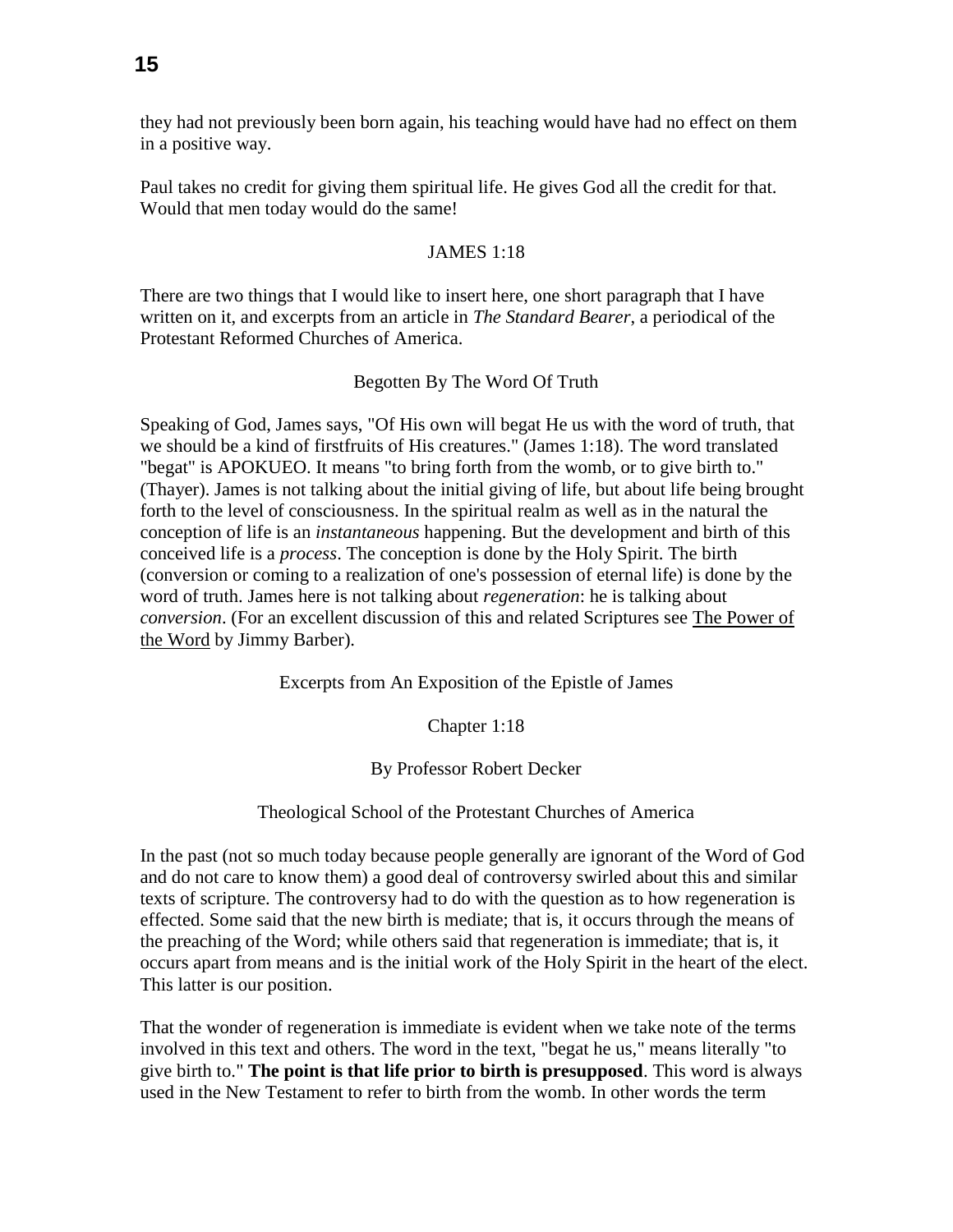they had not previously been born again, his teaching would have had no effect on them in a positive way.

Paul takes no credit for giving them spiritual life. He gives God all the credit for that. Would that men today would do the same!

# JAMES 1:18

There are two things that I would like to insert here, one short paragraph that I have written on it, and excerpts from an article in *The Standard Bearer*, a periodical of the Protestant Reformed Churches of America.

# Begotten By The Word Of Truth

Speaking of God, James says, "Of His own will begat He us with the word of truth, that we should be a kind of firstfruits of His creatures." (James 1:18). The word translated "begat" is APOKUEO. It means "to bring forth from the womb, or to give birth to." (Thayer). James is not talking about the initial giving of life, but about life being brought forth to the level of consciousness. In the spiritual realm as well as in the natural the conception of life is an *instantaneous* happening. But the development and birth of this conceived life is a *process*. The conception is done by the Holy Spirit. The birth (conversion or coming to a realization of one's possession of eternal life) is done by the word of truth. James here is not talking about *regeneration*: he is talking about *conversion*. (For an excellent discussion of this and related Scriptures see The Power of the Word by Jimmy Barber).

Excerpts from An Exposition of the Epistle of James

Chapter 1:18

By Professor Robert Decker

# Theological School of the Protestant Churches of America

In the past (not so much today because people generally are ignorant of the Word of God and do not care to know them) a good deal of controversy swirled about this and similar texts of scripture. The controversy had to do with the question as to how regeneration is effected. Some said that the new birth is mediate; that is, it occurs through the means of the preaching of the Word; while others said that regeneration is immediate; that is, it occurs apart from means and is the initial work of the Holy Spirit in the heart of the elect. This latter is our position.

That the wonder of regeneration is immediate is evident when we take note of the terms involved in this text and others. The word in the text, "begat he us," means literally "to give birth to." **The point is that life prior to birth is presupposed**. This word is always used in the New Testament to refer to birth from the womb. In other words the term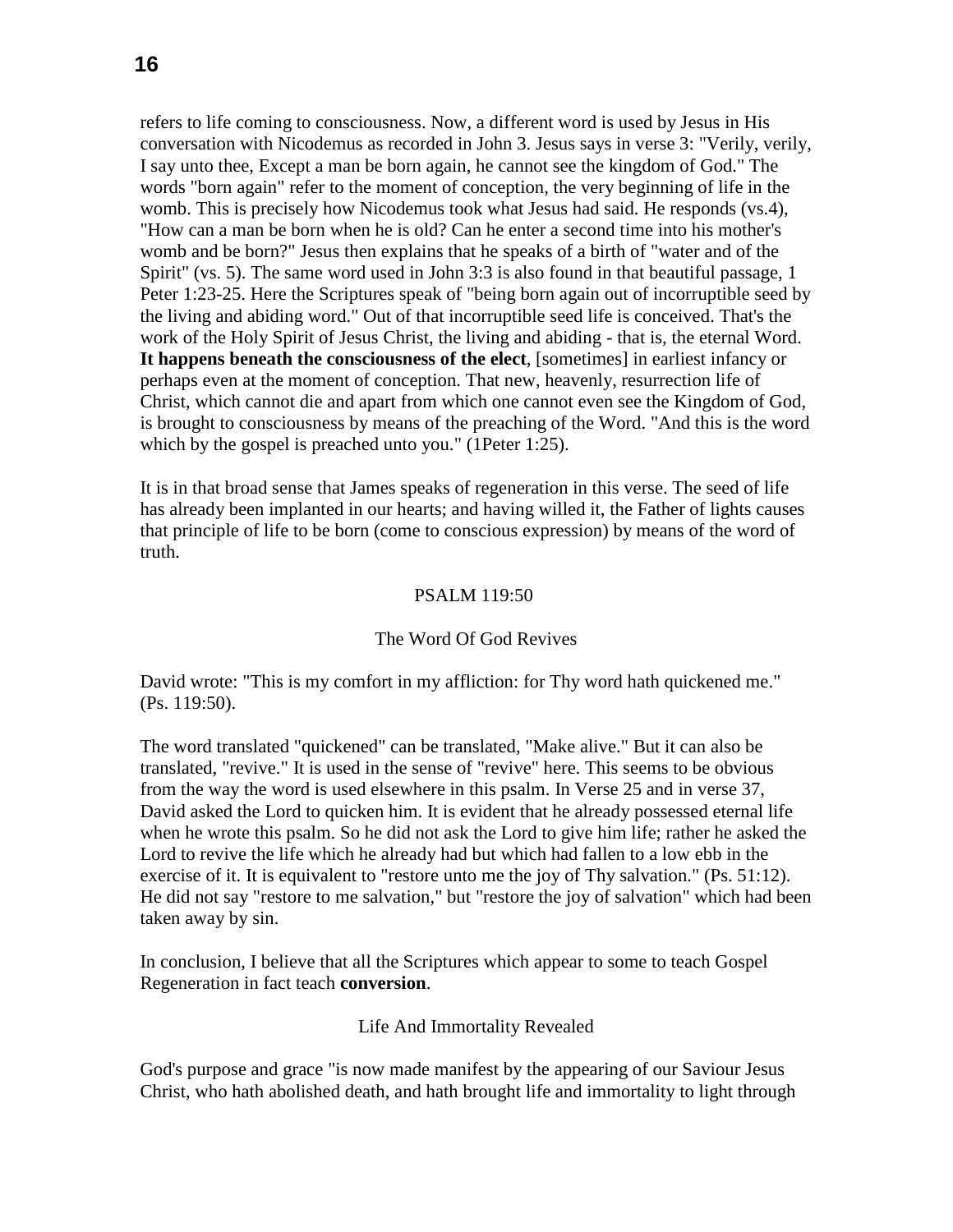refers to life coming to consciousness. Now, a different word is used by Jesus in His conversation with Nicodemus as recorded in John 3. Jesus says in verse 3: "Verily, verily, I say unto thee, Except a man be born again, he cannot see the kingdom of God." The words "born again" refer to the moment of conception, the very beginning of life in the womb. This is precisely how Nicodemus took what Jesus had said. He responds (vs.4), "How can a man be born when he is old? Can he enter a second time into his mother's womb and be born?" Jesus then explains that he speaks of a birth of "water and of the Spirit" (vs. 5). The same word used in John 3:3 is also found in that beautiful passage, 1 Peter 1:23-25. Here the Scriptures speak of "being born again out of incorruptible seed by the living and abiding word." Out of that incorruptible seed life is conceived. That's the work of the Holy Spirit of Jesus Christ, the living and abiding - that is, the eternal Word. **It happens beneath the consciousness of the elect**, [sometimes] in earliest infancy or perhaps even at the moment of conception. That new, heavenly, resurrection life of Christ, which cannot die and apart from which one cannot even see the Kingdom of God, is brought to consciousness by means of the preaching of the Word. "And this is the word which by the gospel is preached unto you." (1Peter 1:25).

It is in that broad sense that James speaks of regeneration in this verse. The seed of life has already been implanted in our hearts; and having willed it, the Father of lights causes that principle of life to be born (come to conscious expression) by means of the word of truth.

# PSALM 119:50

# The Word Of God Revives

David wrote: "This is my comfort in my affliction: for Thy word hath quickened me." (Ps. 119:50).

The word translated "quickened" can be translated, "Make alive." But it can also be translated, "revive." It is used in the sense of "revive" here. This seems to be obvious from the way the word is used elsewhere in this psalm. In Verse 25 and in verse 37, David asked the Lord to quicken him. It is evident that he already possessed eternal life when he wrote this psalm. So he did not ask the Lord to give him life; rather he asked the Lord to revive the life which he already had but which had fallen to a low ebb in the exercise of it. It is equivalent to "restore unto me the joy of Thy salvation." (Ps. 51:12). He did not say "restore to me salvation," but "restore the joy of salvation" which had been taken away by sin.

In conclusion, I believe that all the Scriptures which appear to some to teach Gospel Regeneration in fact teach **conversion**.

### Life And Immortality Revealed

God's purpose and grace "is now made manifest by the appearing of our Saviour Jesus Christ, who hath abolished death, and hath brought life and immortality to light through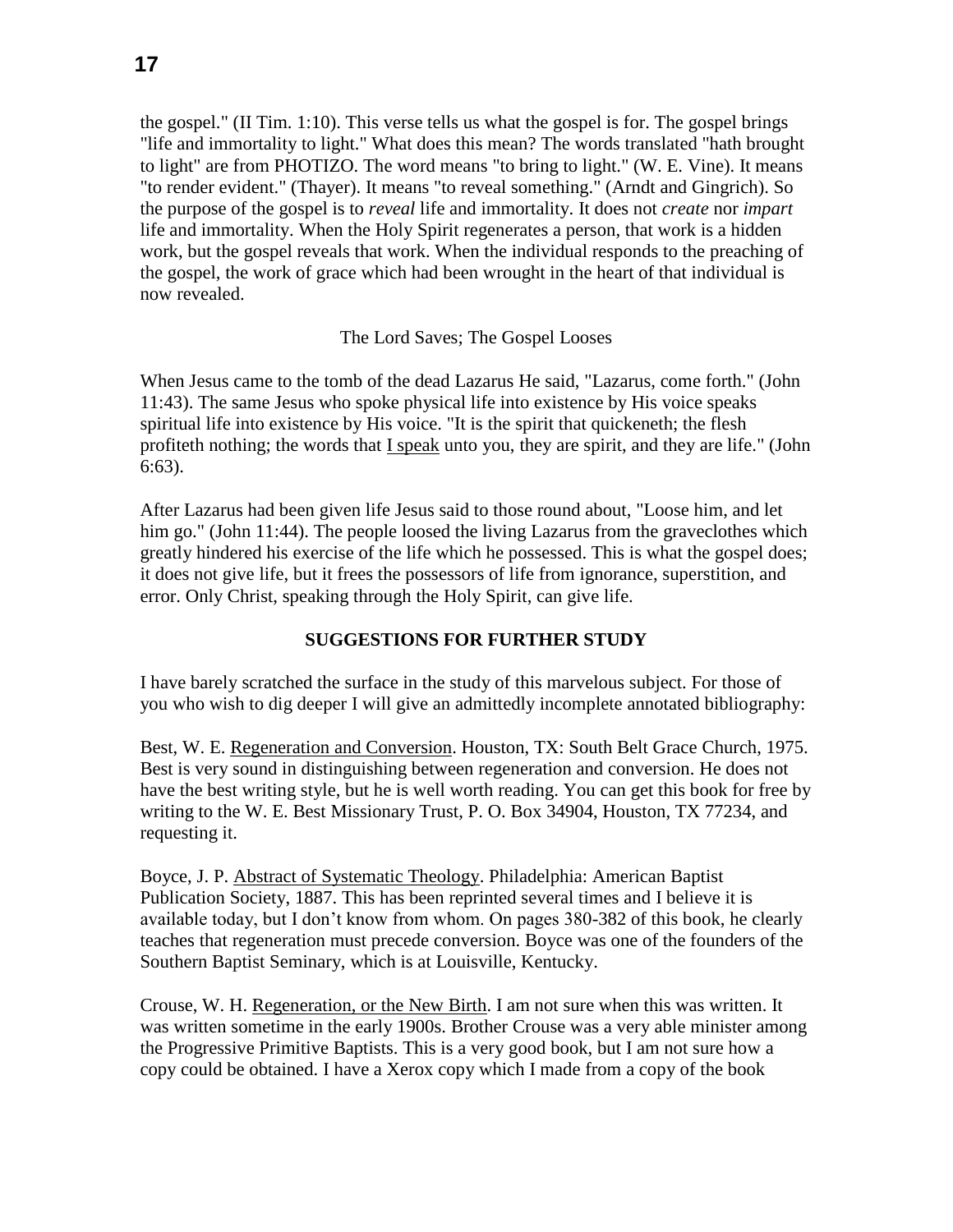the gospel." (II Tim. 1:10). This verse tells us what the gospel is for. The gospel brings "life and immortality to light." What does this mean? The words translated "hath brought to light" are from PHOTIZO. The word means "to bring to light." (W. E. Vine). It means "to render evident." (Thayer). It means "to reveal something." (Arndt and Gingrich). So the purpose of the gospel is to *reveal* life and immortality. It does not *create* nor *impart* life and immortality. When the Holy Spirit regenerates a person, that work is a hidden work, but the gospel reveals that work. When the individual responds to the preaching of the gospel, the work of grace which had been wrought in the heart of that individual is now revealed.

# The Lord Saves; The Gospel Looses

When Jesus came to the tomb of the dead Lazarus He said, "Lazarus, come forth." (John 11:43). The same Jesus who spoke physical life into existence by His voice speaks spiritual life into existence by His voice. "It is the spirit that quickeneth; the flesh profiteth nothing; the words that I speak unto you, they are spirit, and they are life." (John 6:63).

After Lazarus had been given life Jesus said to those round about, "Loose him, and let him go." (John 11:44). The people loosed the living Lazarus from the graveclothes which greatly hindered his exercise of the life which he possessed. This is what the gospel does; it does not give life, but it frees the possessors of life from ignorance, superstition, and error. Only Christ, speaking through the Holy Spirit, can give life.

# **SUGGESTIONS FOR FURTHER STUDY**

I have barely scratched the surface in the study of this marvelous subject. For those of you who wish to dig deeper I will give an admittedly incomplete annotated bibliography:

Best, W. E. Regeneration and Conversion. Houston, TX: South Belt Grace Church, 1975. Best is very sound in distinguishing between regeneration and conversion. He does not have the best writing style, but he is well worth reading. You can get this book for free by writing to the W. E. Best Missionary Trust, P. O. Box 34904, Houston, TX 77234, and requesting it.

Boyce, J. P. Abstract of Systematic Theology. Philadelphia: American Baptist Publication Society, 1887. This has been reprinted several times and I believe it is available today, but I don't know from whom. On pages 380-382 of this book, he clearly teaches that regeneration must precede conversion. Boyce was one of the founders of the Southern Baptist Seminary, which is at Louisville, Kentucky.

Crouse, W. H. Regeneration, or the New Birth. I am not sure when this was written. It was written sometime in the early 1900s. Brother Crouse was a very able minister among the Progressive Primitive Baptists. This is a very good book, but I am not sure how a copy could be obtained. I have a Xerox copy which I made from a copy of the book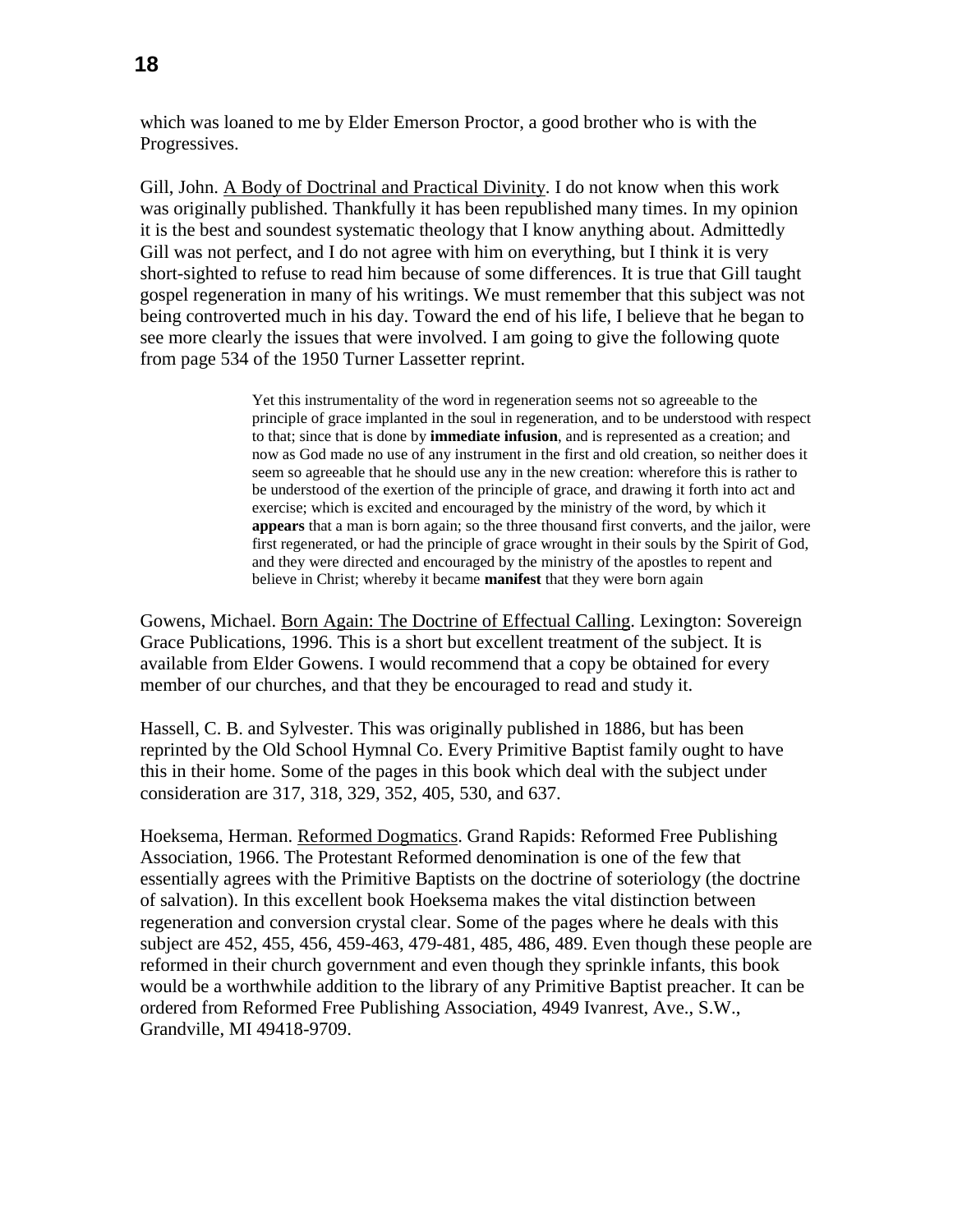which was loaned to me by Elder Emerson Proctor, a good brother who is with the Progressives.

Gill, John. A Body of Doctrinal and Practical Divinity. I do not know when this work was originally published. Thankfully it has been republished many times. In my opinion it is the best and soundest systematic theology that I know anything about. Admittedly Gill was not perfect, and I do not agree with him on everything, but I think it is very short-sighted to refuse to read him because of some differences. It is true that Gill taught gospel regeneration in many of his writings. We must remember that this subject was not being controverted much in his day. Toward the end of his life, I believe that he began to see more clearly the issues that were involved. I am going to give the following quote from page 534 of the 1950 Turner Lassetter reprint.

> Yet this instrumentality of the word in regeneration seems not so agreeable to the principle of grace implanted in the soul in regeneration, and to be understood with respect to that; since that is done by **immediate infusion**, and is represented as a creation; and now as God made no use of any instrument in the first and old creation, so neither does it seem so agreeable that he should use any in the new creation: wherefore this is rather to be understood of the exertion of the principle of grace, and drawing it forth into act and exercise; which is excited and encouraged by the ministry of the word, by which it **appears** that a man is born again; so the three thousand first converts, and the jailor, were first regenerated, or had the principle of grace wrought in their souls by the Spirit of God, and they were directed and encouraged by the ministry of the apostles to repent and believe in Christ; whereby it became **manifest** that they were born again

Gowens, Michael. Born Again: The Doctrine of Effectual Calling. Lexington: Sovereign Grace Publications, 1996. This is a short but excellent treatment of the subject. It is available from Elder Gowens. I would recommend that a copy be obtained for every member of our churches, and that they be encouraged to read and study it.

Hassell, C. B. and Sylvester. This was originally published in 1886, but has been reprinted by the Old School Hymnal Co. Every Primitive Baptist family ought to have this in their home. Some of the pages in this book which deal with the subject under consideration are 317, 318, 329, 352, 405, 530, and 637.

Hoeksema, Herman. Reformed Dogmatics. Grand Rapids: Reformed Free Publishing Association, 1966. The Protestant Reformed denomination is one of the few that essentially agrees with the Primitive Baptists on the doctrine of soteriology (the doctrine of salvation). In this excellent book Hoeksema makes the vital distinction between regeneration and conversion crystal clear. Some of the pages where he deals with this subject are 452, 455, 456, 459-463, 479-481, 485, 486, 489. Even though these people are reformed in their church government and even though they sprinkle infants, this book would be a worthwhile addition to the library of any Primitive Baptist preacher. It can be ordered from Reformed Free Publishing Association, 4949 Ivanrest, Ave., S.W., Grandville, MI 49418-9709.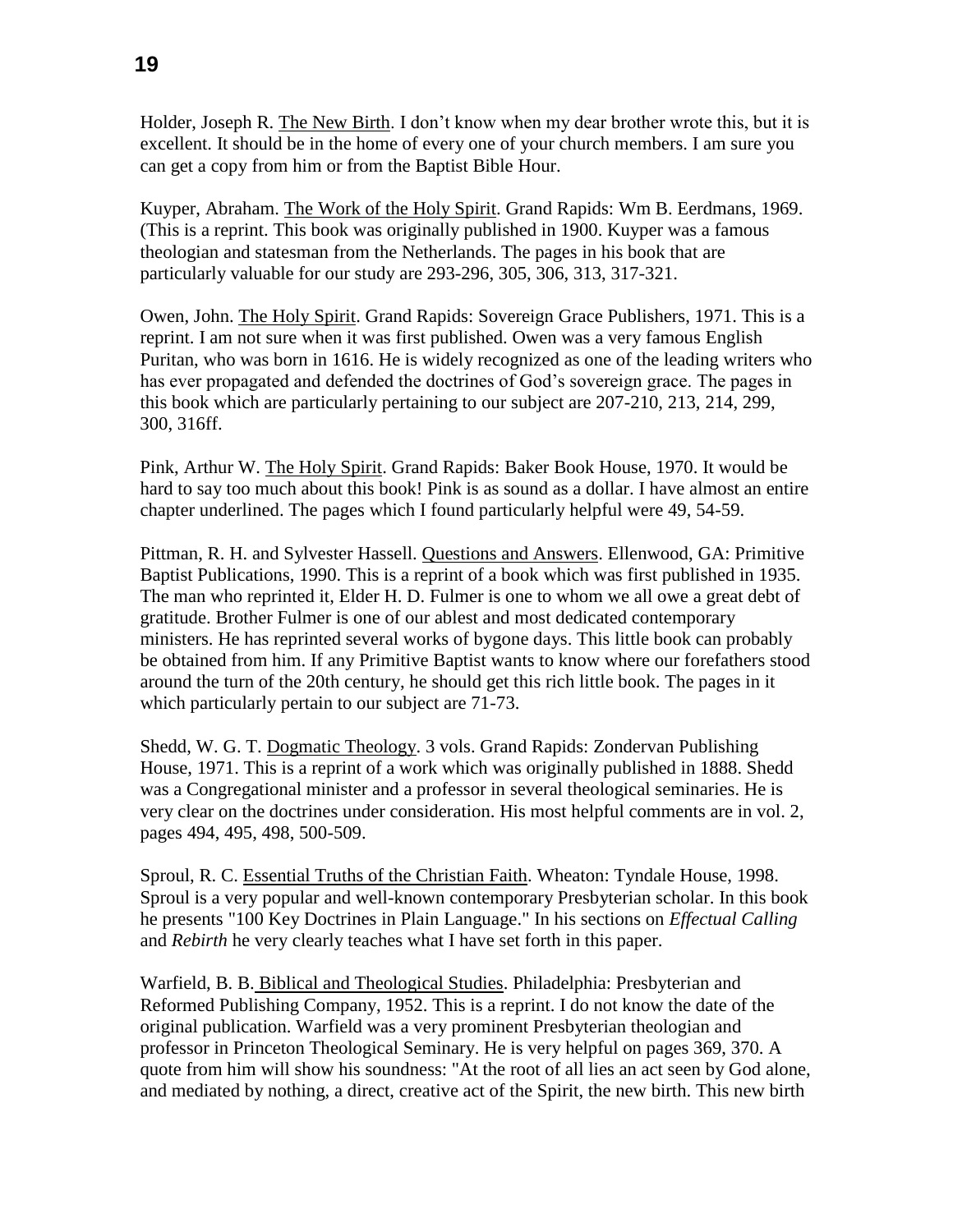Holder, Joseph R. The New Birth. I don't know when my dear brother wrote this, but it is excellent. It should be in the home of every one of your church members. I am sure you can get a copy from him or from the Baptist Bible Hour.

Kuyper, Abraham. The Work of the Holy Spirit. Grand Rapids: Wm B. Eerdmans, 1969. (This is a reprint. This book was originally published in 1900. Kuyper was a famous theologian and statesman from the Netherlands. The pages in his book that are particularly valuable for our study are 293-296, 305, 306, 313, 317-321.

Owen, John. The Holy Spirit. Grand Rapids: Sovereign Grace Publishers, 1971. This is a reprint. I am not sure when it was first published. Owen was a very famous English Puritan, who was born in 1616. He is widely recognized as one of the leading writers who has ever propagated and defended the doctrines of God's sovereign grace. The pages in this book which are particularly pertaining to our subject are 207-210, 213, 214, 299, 300, 316ff.

Pink, Arthur W. The Holy Spirit. Grand Rapids: Baker Book House, 1970. It would be hard to say too much about this book! Pink is as sound as a dollar. I have almost an entire chapter underlined. The pages which I found particularly helpful were 49, 54-59.

Pittman, R. H. and Sylvester Hassell. Questions and Answers. Ellenwood, GA: Primitive Baptist Publications, 1990. This is a reprint of a book which was first published in 1935. The man who reprinted it, Elder H. D. Fulmer is one to whom we all owe a great debt of gratitude. Brother Fulmer is one of our ablest and most dedicated contemporary ministers. He has reprinted several works of bygone days. This little book can probably be obtained from him. If any Primitive Baptist wants to know where our forefathers stood around the turn of the 20th century, he should get this rich little book. The pages in it which particularly pertain to our subject are 71-73.

Shedd, W. G. T. Dogmatic Theology. 3 vols. Grand Rapids: Zondervan Publishing House, 1971. This is a reprint of a work which was originally published in 1888. Shedd was a Congregational minister and a professor in several theological seminaries. He is very clear on the doctrines under consideration. His most helpful comments are in vol. 2, pages 494, 495, 498, 500-509.

Sproul, R. C. Essential Truths of the Christian Faith. Wheaton: Tyndale House, 1998. Sproul is a very popular and well-known contemporary Presbyterian scholar. In this book he presents "100 Key Doctrines in Plain Language." In his sections on *Effectual Calling* and *Rebirth* he very clearly teaches what I have set forth in this paper.

Warfield, B. B. Biblical and Theological Studies. Philadelphia: Presbyterian and Reformed Publishing Company, 1952. This is a reprint. I do not know the date of the original publication. Warfield was a very prominent Presbyterian theologian and professor in Princeton Theological Seminary. He is very helpful on pages 369, 370. A quote from him will show his soundness: "At the root of all lies an act seen by God alone, and mediated by nothing, a direct, creative act of the Spirit, the new birth. This new birth